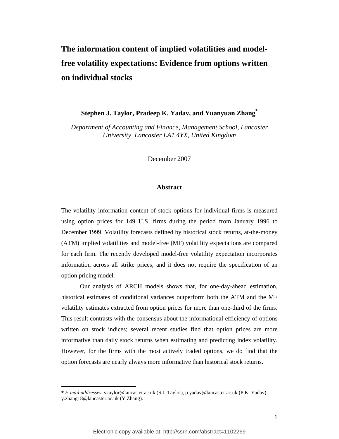# **The information content of implied volatilities and modelfree volatility expectations: Evidence from options written on individual stocks**

**Stephen J. Taylor, Pradeep K. Yadav, and Yuanyuan Zhang\***

*Department of Accounting and Finance, Management School, Lancaster University, Lancaster LA1 4YX, United Kingdom* 

December 2007

#### **Abstract**

The volatility information content of stock options for individual firms is measured using option prices for 149 U.S. firms during the period from January 1996 to December 1999. Volatility forecasts defined by historical stock returns, at-the-money (ATM) implied volatilities and model-free (MF) volatility expectations are compared for each firm. The recently developed model-free volatility expectation incorporates information across all strike prices, and it does not require the specification of an option pricing model.

 Our analysis of ARCH models shows that, for one-day-ahead estimation, historical estimates of conditional variances outperform both the ATM and the MF volatility estimates extracted from option prices for more than one-third of the firms. This result contrasts with the consensus about the informational efficiency of options written on stock indices; several recent studies find that option prices are more informative than daily stock returns when estimating and predicting index volatility. However, for the firms with the most actively traded options, we do find that the option forecasts are nearly always more informative than historical stock returns.

l

**<sup>\*</sup>** *E-mail addresses*: s.taylor@lancaster.ac.uk (S.J. Taylor), p.yadav@lancaster.ac.uk (P.K. Yadav), y.zhang18@lancaster.ac.uk (Y.Zhang).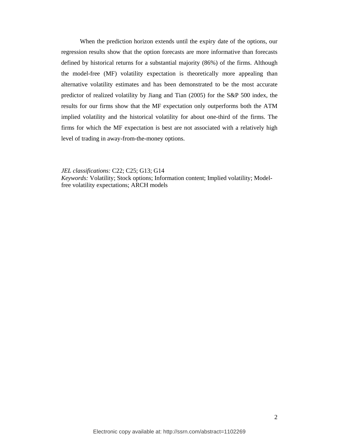When the prediction horizon extends until the expiry date of the options, our regression results show that the option forecasts are more informative than forecasts defined by historical returns for a substantial majority (86%) of the firms. Although the model-free (MF) volatility expectation is theoretically more appealing than alternative volatility estimates and has been demonstrated to be the most accurate predictor of realized volatility by Jiang and Tian (2005) for the S&P 500 index, the results for our firms show that the MF expectation only outperforms both the ATM implied volatility and the historical volatility for about one-third of the firms. The firms for which the MF expectation is best are not associated with a relatively high level of trading in away-from-the-money options.

*JEL classifications:* C22; C25; G13; G14

*Keywords:* Volatility; Stock options; Information content; Implied volatility; Modelfree volatility expectations; ARCH models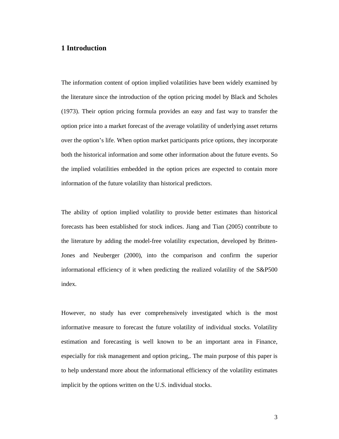# **1 Introduction**

The information content of option implied volatilities have been widely examined by the literature since the introduction of the option pricing model by Black and Scholes (1973). Their option pricing formula provides an easy and fast way to transfer the option price into a market forecast of the average volatility of underlying asset returns over the option's life. When option market participants price options, they incorporate both the historical information and some other information about the future events. So the implied volatilities embedded in the option prices are expected to contain more information of the future volatility than historical predictors.

The ability of option implied volatility to provide better estimates than historical forecasts has been established for stock indices. Jiang and Tian (2005) contribute to the literature by adding the model-free volatility expectation, developed by Britten-Jones and Neuberger (2000), into the comparison and confirm the superior informational efficiency of it when predicting the realized volatility of the S&P500 index.

However, no study has ever comprehensively investigated which is the most informative measure to forecast the future volatility of individual stocks. Volatility estimation and forecasting is well known to be an important area in Finance, especially for risk management and option pricing,. The main purpose of this paper is to help understand more about the informational efficiency of the volatility estimates implicit by the options written on the U.S. individual stocks.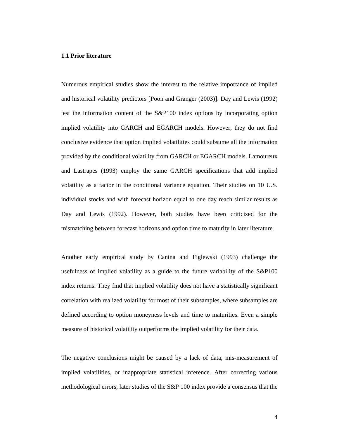#### **1.1 Prior literature**

Numerous empirical studies show the interest to the relative importance of implied and historical volatility predictors [Poon and Granger (2003)]. Day and Lewis (1992) test the information content of the S&P100 index options by incorporating option implied volatility into GARCH and EGARCH models. However, they do not find conclusive evidence that option implied volatilities could subsume all the information provided by the conditional volatility from GARCH or EGARCH models. Lamoureux and Lastrapes (1993) employ the same GARCH specifications that add implied volatility as a factor in the conditional variance equation. Their studies on 10 U.S. individual stocks and with forecast horizon equal to one day reach similar results as Day and Lewis (1992). However, both studies have been criticized for the mismatching between forecast horizons and option time to maturity in later literature.

Another early empirical study by Canina and Figlewski (1993) challenge the usefulness of implied volatility as a guide to the future variability of the S&P100 index returns. They find that implied volatility does not have a statistically significant correlation with realized volatility for most of their subsamples, where subsamples are defined according to option moneyness levels and time to maturities. Even a simple measure of historical volatility outperforms the implied volatility for their data.

The negative conclusions might be caused by a lack of data, mis-measurement of implied volatilities, or inappropriate statistical inference. After correcting various methodological errors, later studies of the S&P 100 index provide a consensus that the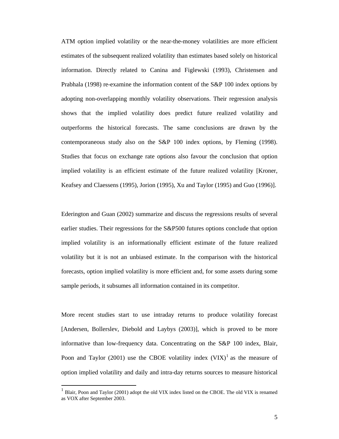ATM option implied volatility or the near-the-money volatilities are more efficient estimates of the subsequent realized volatility than estimates based solely on historical information. Directly related to Canina and Figlewski (1993), Christensen and Prabhala (1998) re-examine the information content of the S&P 100 index options by adopting non-overlapping monthly volatility observations. Their regression analysis shows that the implied volatility does predict future realized volatility and outperforms the historical forecasts. The same conclusions are drawn by the contemporaneous study also on the S&P 100 index options, by Fleming (1998). Studies that focus on exchange rate options also favour the conclusion that option implied volatility is an efficient estimate of the future realized volatility [Kroner, Keafsey and Claessens (1995), Jorion (1995), Xu and Taylor (1995) and Guo (1996)].

Ederington and Guan (2002) summarize and discuss the regressions results of several earlier studies. Their regressions for the S&P500 futures options conclude that option implied volatility is an informationally efficient estimate of the future realized volatility but it is not an unbiased estimate. In the comparison with the historical forecasts, option implied volatility is more efficient and, for some assets during some sample periods, it subsumes all information contained in its competitor.

More recent studies start to use intraday returns to produce volatility forecast [Andersen, Bollerslev, Diebold and Laybys (2003)], which is proved to be more informative than low-frequency data. Concentrating on the S&P 100 index, Blair, Poon and Taylor (2001) use the CBOE volatility index  $(VIX)^{1}$  as the measure of option implied volatility and daily and intra-day returns sources to measure historical

 $\overline{a}$ 

<sup>1</sup> Blair, Poon and Taylor (2001) adopt the old VIX index listed on the CBOE. The old VIX is renamed as VOX after September 2003.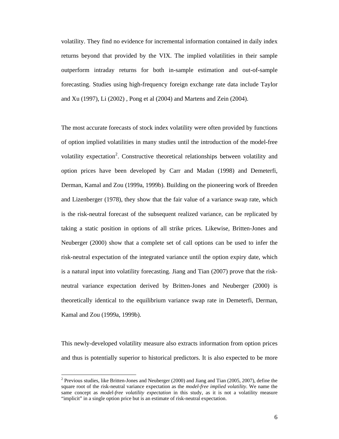volatility. They find no evidence for incremental information contained in daily index returns beyond that provided by the VIX. The implied volatilities in their sample outperform intraday returns for both in-sample estimation and out-of-sample forecasting. Studies using high-frequency foreign exchange rate data include Taylor and Xu (1997), Li (2002) , Pong et al (2004) and Martens and Zein (2004).

The most accurate forecasts of stock index volatility were often provided by functions of option implied volatilities in many studies until the introduction of the model-free volatility expectation<sup>2</sup>. Constructive theoretical relationships between volatility and option prices have been developed by Carr and Madan (1998) and Demeterfi, Derman, Kamal and Zou (1999a, 1999b). Building on the pioneering work of Breeden and Lizenberger (1978), they show that the fair value of a variance swap rate, which is the risk-neutral forecast of the subsequent realized variance, can be replicated by taking a static position in options of all strike prices. Likewise, Britten-Jones and Neuberger (2000) show that a complete set of call options can be used to infer the risk-neutral expectation of the integrated variance until the option expiry date, which is a natural input into volatility forecasting. Jiang and Tian (2007) prove that the riskneutral variance expectation derived by Britten-Jones and Neuberger (2000) is theoretically identical to the equilibrium variance swap rate in Demeterfi, Derman, Kamal and Zou (1999a, 1999b).

This newly-developed volatility measure also extracts information from option prices and thus is potentially superior to historical predictors. It is also expected to be more

 $\overline{a}$ 

<sup>&</sup>lt;sup>2</sup> Previous studies, like Britten-Jones and Neuberger (2000) and Jiang and Tian (2005, 2007), define the square root of the risk-neutral variance expectation as the *model-free implied volatility*. We name the same concept as *model-free volatility expectation* in this study, as it is not a volatility measure "implicit" in a single option price but is an estimate of risk-neutral expectation.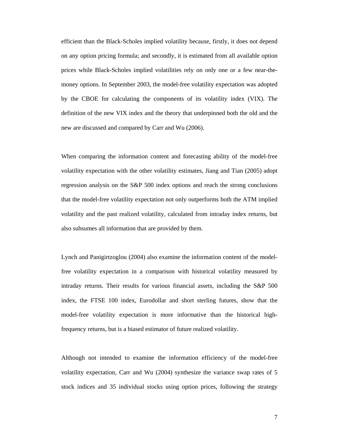efficient than the Black-Scholes implied volatility because, firstly, it does not depend on any option pricing formula; and secondly, it is estimated from all available option prices while Black-Scholes implied volatilities rely on only one or a few near-themoney options. In September 2003, the model-free volatility expectation was adopted by the CBOE for calculating the components of its volatility index (VIX). The definition of the new VIX index and the theory that underpinned both the old and the new are discussed and compared by Carr and Wu (2006).

When comparing the information content and forecasting ability of the model-free volatility expectation with the other volatility estimates, Jiang and Tian (2005) adopt regression analysis on the S&P 500 index options and reach the strong conclusions that the model-free volatility expectation not only outperforms both the ATM implied volatility and the past realized volatility, calculated from intraday index returns, but also subsumes all information that are provided by them.

Lynch and Panigirtzoglou (2004) also examine the information content of the modelfree volatility expectation in a comparison with historical volatility measured by intraday returns. Their results for various financial assets, including the S&P 500 index, the FTSE 100 index, Eurodollar and short sterling futures, show that the model-free volatility expectation is more informative than the historical highfrequency returns, but is a biased estimator of future realized volatility.

Although not intended to examine the information efficiency of the model-free volatility expectation, Carr and Wu (2004) synthesize the variance swap rates of 5 stock indices and 35 individual stocks using option prices, following the strategy

7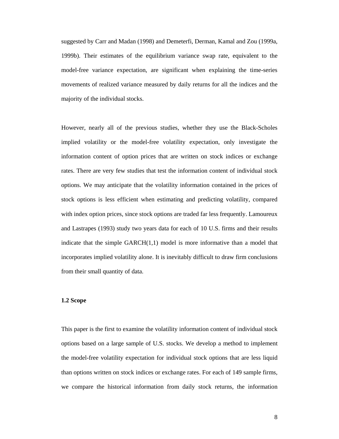suggested by Carr and Madan (1998) and Demeterfi, Derman, Kamal and Zou (1999a, 1999b). Their estimates of the equilibrium variance swap rate, equivalent to the model-free variance expectation, are significant when explaining the time-series movements of realized variance measured by daily returns for all the indices and the majority of the individual stocks.

However, nearly all of the previous studies, whether they use the Black-Scholes implied volatility or the model-free volatility expectation, only investigate the information content of option prices that are written on stock indices or exchange rates. There are very few studies that test the information content of individual stock options. We may anticipate that the volatility information contained in the prices of stock options is less efficient when estimating and predicting volatility, compared with index option prices, since stock options are traded far less frequently. Lamoureux and Lastrapes (1993) study two years data for each of 10 U.S. firms and their results indicate that the simple  $GARCH(1,1)$  model is more informative than a model that incorporates implied volatility alone. It is inevitably difficult to draw firm conclusions from their small quantity of data.

#### **1.2 Scope**

This paper is the first to examine the volatility information content of individual stock options based on a large sample of U.S. stocks. We develop a method to implement the model-free volatility expectation for individual stock options that are less liquid than options written on stock indices or exchange rates. For each of 149 sample firms, we compare the historical information from daily stock returns, the information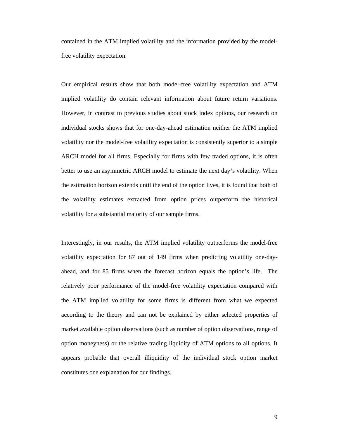contained in the ATM implied volatility and the information provided by the modelfree volatility expectation.

Our empirical results show that both model-free volatility expectation and ATM implied volatility do contain relevant information about future return variations. However, in contrast to previous studies about stock index options, our research on individual stocks shows that for one-day-ahead estimation neither the ATM implied volatility nor the model-free volatility expectation is consistently superior to a simple ARCH model for all firms. Especially for firms with few traded options, it is often better to use an asymmetric ARCH model to estimate the next day's volatility. When the estimation horizon extends until the end of the option lives, it is found that both of the volatility estimates extracted from option prices outperform the historical volatility for a substantial majority of our sample firms.

Interestingly, in our results, the ATM implied volatility outperforms the model-free volatility expectation for 87 out of 149 firms when predicting volatility one-dayahead, and for 85 firms when the forecast horizon equals the option's life. The relatively poor performance of the model-free volatility expectation compared with the ATM implied volatility for some firms is different from what we expected according to the theory and can not be explained by either selected properties of market available option observations (such as number of option observations, range of option moneyness) or the relative trading liquidity of ATM options to all options. It appears probable that overall illiquidity of the individual stock option market constitutes one explanation for our findings.

9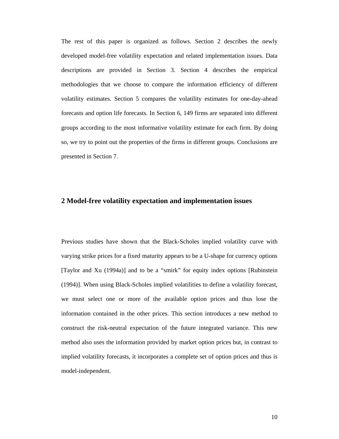The rest of this paper is organized as follows. Section 2 describes the newly developed model-free volatility expectation and related implementation issues. Data descriptions are provided in Section 3. Section 4 describes the empirical methodologies that we choose to compare the information efficiency of different volatility estimates. Section 5 compares the volatility estimates for one-day-ahead forecasts and option life forecasts. In Section 6, 149 firms are separated into different groups according to the most informative volatility estimate for each firm. By doing so, we try to point out the properties of the firms in different groups. Conclusions are presented in Section 7.

# **2 Model-free volatility expectation and implementation issues**

Previous studies have shown that the Black-Scholes implied volatility curve with varying strike prices for a fixed maturity appears to be a U-shape for currency options [Taylor and Xu (1994a)] and to be a "smirk" for equity index options [Rubinstein (1994)]. When using Black-Scholes implied volatilities to define a volatility forecast, we must select one or more of the available option prices and thus lose the information contained in the other prices. This section introduces a new method to construct the risk-neutral expectation of the future integrated variance. This new method also uses the information provided by market option prices but, in contrast to implied volatility forecasts, it incorporates a complete set of option prices and thus is model-independent.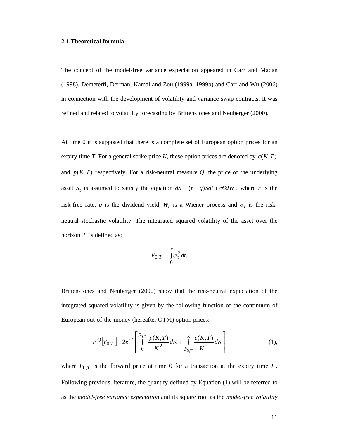#### **2.1 Theoretical formula**

The concept of the model-free variance expectation appeared in Carr and Madan (1998), Demeterfi, Derman, Kamal and Zou (1999a, 1999b) and Carr and Wu (2006) in connection with the development of volatility and variance swap contracts. It was refined and related to volatility forecasting by Britten-Jones and Neuberger (2000).

At time 0 it is supposed that there is a complete set of European option prices for an expiry time *T*. For a general strike price *K*, these option prices are denoted by  $c(K,T)$ and  $p(K,T)$  respectively. For a risk-neutral measure  $Q$ , the price of the underlying asset  $S_t$  is assumed to satisfy the equation  $dS = (r - q)Sdt + \sigma SdW$ , where *r* is the risk-free rate, *q* is the dividend yield,  $W_t$  is a Wiener process and  $\sigma_t$  is the riskneutral stochastic volatility. The integrated squared volatility of the asset over the horizon *T* is defined as:

$$
V_{0,T} = \int_{0}^{T} \sigma_t^2 dt.
$$

Britten-Jones and Neuberger (2000) show that the risk-neutral expectation of the integrated squared volatility is given by the following function of the continuum of European out-of-the-money (hereafter OTM) option prices:

$$
E^{Q}[V_{0,T}] = 2e^{rT} \left[ \int_{0}^{F_{0,T}} \frac{p(K,T)}{K^2} dK + \int_{F_{0,T}}^{\infty} \frac{c(K,T)}{K^2} dK \right]
$$
(1),

where  $F_{0,T}$  is the forward price at time 0 for a transaction at the expiry time  $T$ . Following previous literature, the quantity defined by Equation (1) will be referred to as the *model-free variance expectation* and its square root as the *model-free volatility*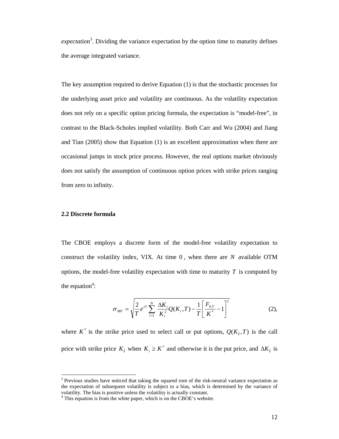expectation<sup>3</sup>. Dividing the variance expectation by the option time to maturity defines the average integrated variance.

The key assumption required to derive Equation (1) is that the stochastic processes for the underlying asset price and volatility are continuous. As the volatility expectation does not rely on a specific option pricing formula, the expectation is "model-free", in contrast to the Black-Scholes implied volatility. Both Carr and Wu (2004) and Jiang and Tian (2005) show that Equation (1) is an excellent approximation when there are occasional jumps in stock price process. However, the real options market obviously does not satisfy the assumption of continuous option prices with strike prices ranging from zero to infinity.

#### **2.2 Discrete formula**

 $\overline{a}$ 

The CBOE employs a discrete form of the model-free volatility expectation to construct the volatility index, VIX. At time 0 , when there are *N* available OTM options, the model-free volatility expectation with time to maturity  $T$  is computed by the equation<sup>4</sup>:

$$
\sigma_{MF} = \sqrt{\frac{2}{T} e^{rT} \sum_{i=1}^{N} \frac{\Delta K_i}{K_i^2} Q(K_i, T) - \frac{1}{T} \left[ \frac{F_{0,T}}{K^*} - 1 \right]^2}
$$
(2),

where  $K^*$  is the strike price used to select call or put options,  $Q(K_i, T)$  is the call price with strike price  $K_i$  when  $K_i \geq K^*$  and otherwise it is the put price, and  $\Delta K_i$  is

<sup>&</sup>lt;sup>3</sup> Previous studies have noticed that taking the squared root of the risk-neutral variance expectation as the expectation of subsequent volatility is subject to a bias, which is determined by the variance of volatility. The bias is positive unless the volatility is actually constant.

<sup>&</sup>lt;sup>4</sup> This equation is from the white paper, which is on the CBOE's website.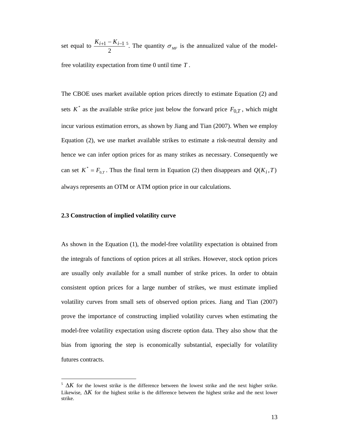set equal to  $\frac{K_{i+1} - K_{i-1}}{2}$ <sup>5</sup>. The quantity  $\sigma_{MF}$  is the annualized value of the modelfree volatility expectation from time 0 until time *T* .

The CBOE uses market available option prices directly to estimate Equation (2) and sets  $K^*$  as the available strike price just below the forward price  $F_{0,T}$ , which might incur various estimation errors, as shown by Jiang and Tian (2007). When we employ Equation (2), we use market available strikes to estimate a risk-neutral density and hence we can infer option prices for as many strikes as necessary. Consequently we can set  $K^* = F_{0,T}$ . Thus the final term in Equation (2) then disappears and  $Q(K_i, T)$ always represents an OTM or ATM option price in our calculations.

#### **2.3 Construction of implied volatility curve**

l

As shown in the Equation (1), the model-free volatility expectation is obtained from the integrals of functions of option prices at all strikes. However, stock option prices are usually only available for a small number of strike prices. In order to obtain consistent option prices for a large number of strikes, we must estimate implied volatility curves from small sets of observed option prices. Jiang and Tian (2007) prove the importance of constructing implied volatility curves when estimating the model-free volatility expectation using discrete option data. They also show that the bias from ignoring the step is economically substantial, especially for volatility futures contracts.

 $5 \Delta K$  for the lowest strike is the difference between the lowest strike and the next higher strike. Likewise,  $\Delta K$  for the highest strike is the difference between the highest strike and the next lower strike.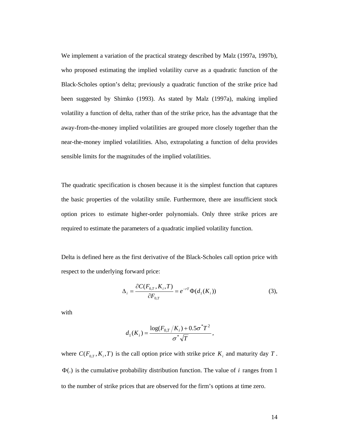We implement a variation of the practical strategy described by Malz (1997a, 1997b), who proposed estimating the implied volatility curve as a quadratic function of the Black-Scholes option's delta; previously a quadratic function of the strike price had been suggested by Shimko (1993). As stated by Malz (1997a), making implied volatility a function of delta, rather than of the strike price, has the advantage that the away-from-the-money implied volatilities are grouped more closely together than the near-the-money implied volatilities. Also, extrapolating a function of delta provides sensible limits for the magnitudes of the implied volatilities.

The quadratic specification is chosen because it is the simplest function that captures the basic properties of the volatility smile. Furthermore, there are insufficient stock option prices to estimate higher-order polynomials. Only three strike prices are required to estimate the parameters of a quadratic implied volatility function.

Delta is defined here as the first derivative of the Black-Scholes call option price with respect to the underlying forward price:

$$
\Delta_{i} = \frac{\partial C(F_{0,T}, K_{i}, T)}{\partial F_{0,T}} = e^{-rT} \Phi(d_{1}(K_{i}))
$$
\n(3),

with

$$
d_1(K_i) = \frac{\log(F_{0,T}/K_i) + 0.5\sigma^*T^2}{\sigma^*\sqrt{T}},
$$

where  $C(F_{0,T}, K_i, T)$  is the call option price with strike price  $K_i$  and maturity day  $T$ . Φ(.) is the cumulative probability distribution function. The value of *i* ranges from 1 to the number of strike prices that are observed for the firm's options at time zero.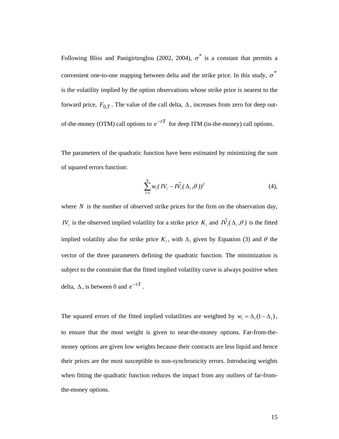Following Bliss and Panigirtzoglou (2002, 2004),  $\sigma^*$  is a constant that permits a convenient one-to-one mapping between delta and the strike price. In this study,  $\sigma^*$ is the volatility implied by the option observations whose strike price is nearest to the forward price,  $F_{0,T}$ . The value of the call delta,  $\Delta$ , increases from zero for deep outof-the-money (OTM) call options to  $e^{-rT}$  for deep ITM (in-the-money) call options.

The parameters of the quadratic function have been estimated by minimizing the sum of squared errors function:

$$
\sum_{i=1}^{N} w_i (IV_i - I\hat{V}_i(\Delta_i, \theta))^2
$$
 (4),

where *N* is the number of observed strike prices for the firm on the observation day, *IV<sub>i</sub>* is the observed implied volatility for a strike price  $K_i$  and  $I\hat{V}_i(\Delta_i, \theta)$  is the fitted implied volatility also for strike price  $K_i$ , with  $\Delta_i$  given by Equation (3) and  $\theta$  the vector of the three parameters defining the quadratic function. The minimization is subject to the constraint that the fitted implied volatility curve is always positive when delta,  $\Delta$ , is between 0 and  $e^{-rT}$ .

The squared errors of the fitted implied volatilities are weighted by  $w_i = \Delta_i (1 - \Delta_i)$ , to ensure that the most weight is given to near-the-money options. Far-from-themoney options are given low weights because their contracts are less liquid and hence their prices are the most susceptible to non-synchronicity errors. Introducing weights when fitting the quadratic function reduces the impact from any outliers of far-fromthe-money options.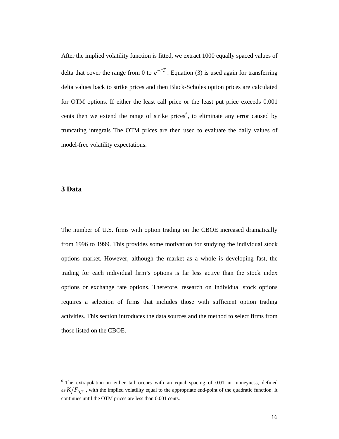After the implied volatility function is fitted, we extract 1000 equally spaced values of delta that cover the range from 0 to  $e^{-rT}$ . Equation (3) is used again for transferring delta values back to strike prices and then Black-Scholes option prices are calculated for OTM options. If either the least call price or the least put price exceeds 0.001 cents then we extend the range of strike prices<sup>6</sup>, to eliminate any error caused by truncating integrals The OTM prices are then used to evaluate the daily values of model-free volatility expectations.

## **3 Data**

 $\overline{a}$ 

The number of U.S. firms with option trading on the CBOE increased dramatically from 1996 to 1999. This provides some motivation for studying the individual stock options market. However, although the market as a whole is developing fast, the trading for each individual firm's options is far less active than the stock index options or exchange rate options. Therefore, research on individual stock options requires a selection of firms that includes those with sufficient option trading activities. This section introduces the data sources and the method to select firms from those listed on the CBOE.

 $6$  The extrapolation in either tail occurs with an equal spacing of 0.01 in moneyness, defined as  $K/F_{0,T}$ , with the implied volatility equal to the appropriate end-point of the quadratic function. It continues until the OTM prices are less than 0.001 cents.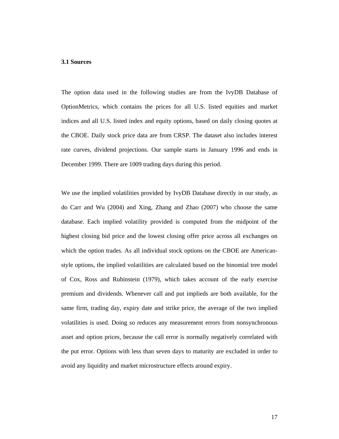#### **3.1 Sources**

The option data used in the following studies are from the IvyDB Database of OptionMetrics, which contains the prices for all U.S. listed equities and market indices and all U.S. listed index and equity options, based on daily closing quotes at the CBOE. Daily stock price data are from CRSP. The dataset also includes interest rate curves, dividend projections. Our sample starts in January 1996 and ends in December 1999. There are 1009 trading days during this period.

We use the implied volatilities provided by IvyDB Database directly in our study, as do Carr and Wu (2004) and Xing, Zhang and Zhao (2007) who choose the same database. Each implied volatility provided is computed from the midpoint of the highest closing bid price and the lowest closing offer price across all exchanges on which the option trades. As all individual stock options on the CBOE are Americanstyle options, the implied volatilities are calculated based on the binomial tree model of Cox, Ross and Rubinstein (1979), which takes account of the early exercise premium and dividends. Whenever call and put implieds are both available, for the same firm, trading day, expiry date and strike price, the average of the two implied volatilities is used. Doing so reduces any measurement errors from nonsynchronous asset and option prices, because the call error is normally negatively correlated with the put error. Options with less than seven days to maturity are excluded in order to avoid any liquidity and market microstructure effects around expiry.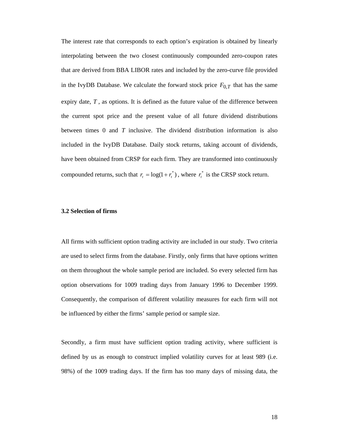The interest rate that corresponds to each option's expiration is obtained by linearly interpolating between the two closest continuously compounded zero-coupon rates that are derived from BBA LIBOR rates and included by the zero-curve file provided in the IvyDB Database. We calculate the forward stock price  $F_{0,T}$  that has the same expiry date, *T* , as options. It is defined as the future value of the difference between the current spot price and the present value of all future dividend distributions between times 0 and *T* inclusive. The dividend distribution information is also included in the IvyDB Database. Daily stock returns, taking account of dividends, have been obtained from CRSP for each firm. They are transformed into continuously compounded returns, such that  $r_t = \log(1 + r_t^*)$ , where  $r_t^*$  is the CRSP stock return.

#### **3.2 Selection of firms**

All firms with sufficient option trading activity are included in our study. Two criteria are used to select firms from the database. Firstly, only firms that have options written on them throughout the whole sample period are included. So every selected firm has option observations for 1009 trading days from January 1996 to December 1999. Consequently, the comparison of different volatility measures for each firm will not be influenced by either the firms' sample period or sample size.

Secondly, a firm must have sufficient option trading activity, where sufficient is defined by us as enough to construct implied volatility curves for at least 989 (i.e. 98%) of the 1009 trading days. If the firm has too many days of missing data, the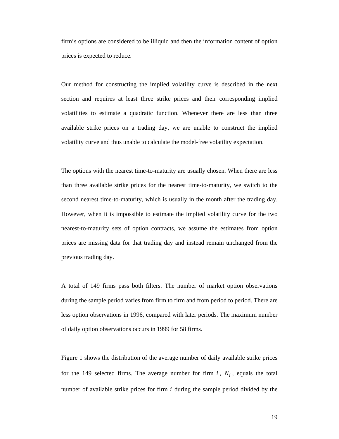firm's options are considered to be illiquid and then the information content of option prices is expected to reduce.

Our method for constructing the implied volatility curve is described in the next section and requires at least three strike prices and their corresponding implied volatilities to estimate a quadratic function. Whenever there are less than three available strike prices on a trading day, we are unable to construct the implied volatility curve and thus unable to calculate the model-free volatility expectation.

The options with the nearest time-to-maturity are usually chosen. When there are less than three available strike prices for the nearest time-to-maturity, we switch to the second nearest time-to-maturity, which is usually in the month after the trading day. However, when it is impossible to estimate the implied volatility curve for the two nearest-to-maturity sets of option contracts, we assume the estimates from option prices are missing data for that trading day and instead remain unchanged from the previous trading day.

A total of 149 firms pass both filters. The number of market option observations during the sample period varies from firm to firm and from period to period. There are less option observations in 1996, compared with later periods. The maximum number of daily option observations occurs in 1999 for 58 firms.

Figure 1 shows the distribution of the average number of daily available strike prices for the 149 selected firms. The average number for firm  $i$ ,  $\overline{N}_i$ , equals the total number of available strike prices for firm *i* during the sample period divided by the

19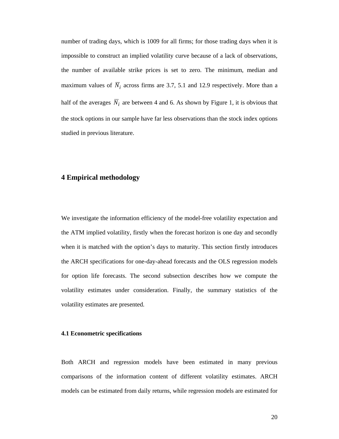number of trading days, which is 1009 for all firms; for those trading days when it is impossible to construct an implied volatility curve because of a lack of observations, the number of available strike prices is set to zero. The minimum, median and maximum values of  $\overline{N}_i$  across firms are 3.7, 5.1 and 12.9 respectively. More than a half of the averages  $\overline{N}_i$  are between 4 and 6. As shown by Figure 1, it is obvious that the stock options in our sample have far less observations than the stock index options studied in previous literature.

## **4 Empirical methodology**

We investigate the information efficiency of the model-free volatility expectation and the ATM implied volatility, firstly when the forecast horizon is one day and secondly when it is matched with the option's days to maturity. This section firstly introduces the ARCH specifications for one-day-ahead forecasts and the OLS regression models for option life forecasts. The second subsection describes how we compute the volatility estimates under consideration. Finally, the summary statistics of the volatility estimates are presented.

#### **4.1 Econometric specifications**

Both ARCH and regression models have been estimated in many previous comparisons of the information content of different volatility estimates. ARCH models can be estimated from daily returns, while regression models are estimated for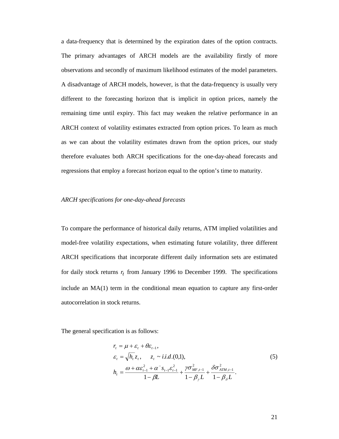a data-frequency that is determined by the expiration dates of the option contracts. The primary advantages of ARCH models are the availability firstly of more observations and secondly of maximum likelihood estimates of the model parameters. A disadvantage of ARCH models, however, is that the data-frequency is usually very different to the forecasting horizon that is implicit in option prices, namely the remaining time until expiry. This fact may weaken the relative performance in an ARCH context of volatility estimates extracted from option prices. To learn as much as we can about the volatility estimates drawn from the option prices, our study therefore evaluates both ARCH specifications for the one-day-ahead forecasts and regressions that employ a forecast horizon equal to the option's time to maturity.

#### *ARCH specifications for one-day-ahead forecasts*

To compare the performance of historical daily returns, ATM implied volatilities and model-free volatility expectations, when estimating future volatility, three different ARCH specifications that incorporate different daily information sets are estimated for daily stock returns  $r_t$  from January 1996 to December 1999. The specifications include an MA(1) term in the conditional mean equation to capture any first-order autocorrelation in stock returns.

The general specification is as follows:

$$
r_{t} = \mu + \varepsilon_{t} + \theta \varepsilon_{t-1},
$$
  
\n
$$
\varepsilon_{t} = \sqrt{h_{t}} z_{t}, \quad z_{t} \sim i.i.d.(0,1),
$$
  
\n
$$
h_{t} = \frac{\omega + \alpha \varepsilon_{t-1}^{2} + \alpha^{-} s_{t-1} \varepsilon_{t-1}^{2}}{1 - \beta L} + \frac{\gamma \sigma_{MF,t-1}^{2}}{1 - \beta_{\gamma} L} + \frac{\delta \sigma_{ATM,t-1}^{2}}{1 - \beta_{\delta} L}.
$$
\n(5)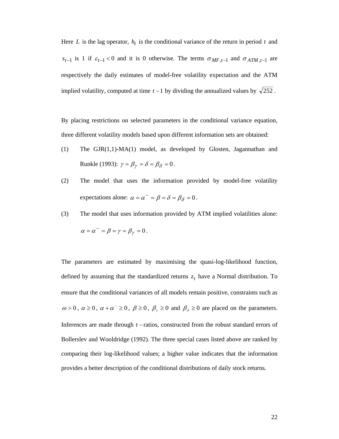Here *L* is the lag operator,  $h_t$  is the conditional variance of the return in period *t* and  $s_{t-1}$  is 1 if  $\varepsilon_{t-1}$  < 0 and it is 0 otherwise. The terms  $\sigma_{MF,t-1}$  and  $\sigma_{ATM,t-1}$  are respectively the daily estimates of model-free volatility expectation and the ATM implied volatility, computed at time  $t-1$  by dividing the annualized values by  $\sqrt{252}$ .

By placing restrictions on selected parameters in the conditional variance equation, three different volatility models based upon different information sets are obtained:

- (1) The GJR(1,1)-MA(1) model, as developed by Glosten, Jagannathan and Runkle (1993):  $\gamma = \beta_{\gamma} = \delta = \beta_{\delta} = 0$ .
- (2) The model that uses the information provided by model-free volatility expectations alone:  $\alpha = \alpha^- = \beta = \delta = \beta_\delta = 0$ .
- (3) The model that uses information provided by ATM implied volatilities alone:

$$
\alpha = \alpha^- = \beta = \gamma = \beta_\gamma = 0.
$$

The parameters are estimated by maximising the quasi-log-likelihood function, defined by assuming that the standardized returns  $z_t$  have a Normal distribution. To ensure that the conditional variances of all models remain positive, constraints such as  $\omega > 0$ ,  $\alpha \ge 0$ ,  $\alpha + \alpha^{-} \ge 0$ ,  $\beta \ge 0$ ,  $\beta_{\gamma} \ge 0$  and  $\beta_{\delta} \ge 0$  are placed on the parameters. Inferences are made through *t* −ratios, constructed from the robust standard errors of Bollerslev and Wooldridge (1992). The three special cases listed above are ranked by comparing their log-likelihood values; a higher value indicates that the information provides a better description of the conditional distributions of daily stock returns.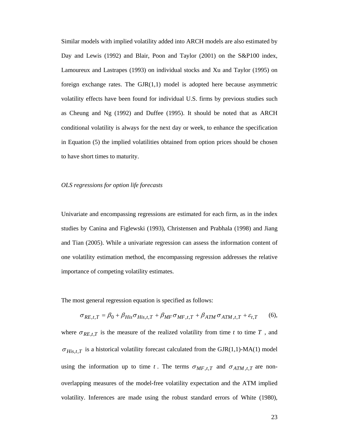Similar models with implied volatility added into ARCH models are also estimated by Day and Lewis (1992) and Blair, Poon and Taylor (2001) on the S&P100 index, Lamoureux and Lastrapes (1993) on individual stocks and Xu and Taylor (1995) on foreign exchange rates. The  $GJR(1,1)$  model is adopted here because asymmetric volatility effects have been found for individual U.S. firms by previous studies such as Cheung and Ng (1992) and Duffee (1995). It should be noted that as ARCH conditional volatility is always for the next day or week, to enhance the specification in Equation (5) the implied volatilities obtained from option prices should be chosen to have short times to maturity.

#### *OLS regressions for option life forecasts*

Univariate and encompassing regressions are estimated for each firm, as in the index studies by Canina and Figlewski (1993), Christensen and Prabhala (1998) and Jiang and Tian (2005). While a univariate regression can assess the information content of one volatility estimation method, the encompassing regression addresses the relative importance of competing volatility estimates.

The most general regression equation is specified as follows:

$$
\sigma_{RE,t,T} = \beta_0 + \beta_{His}\sigma_{His,t,T} + \beta_{MF}\sigma_{MF,t,T} + \beta_{ATM}\sigma_{ATM,t,T} + \varepsilon_{t,T}
$$
 (6),

where  $\sigma_{REL,T}$  is the measure of the realized volatility from time *t* to time *T*, and  $\sigma_{His, t, T}$  is a historical volatility forecast calculated from the GJR(1,1)-MA(1) model using the information up to time *t*. The terms  $\sigma_{MF,t,T}$  and  $\sigma_{ATM,t,T}$  are nonoverlapping measures of the model-free volatility expectation and the ATM implied volatility. Inferences are made using the robust standard errors of White (1980),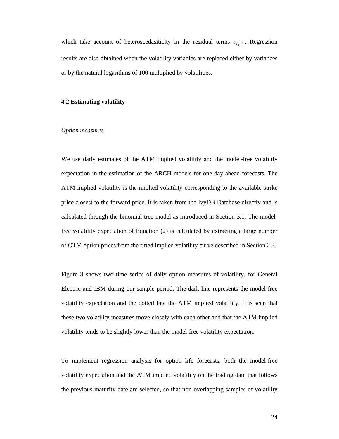which take account of heteroscedasiticity in the residual terms  $\varepsilon_{t,T}$ . Regression results are also obtained when the volatility variables are replaced either by variances or by the natural logarithms of 100 multiplied by volatilities.

#### **4.2 Estimating volatility**

#### *Option measures*

We use daily estimates of the ATM implied volatility and the model-free volatility expectation in the estimation of the ARCH models for one-day-ahead forecasts. The ATM implied volatility is the implied volatility corresponding to the available strike price closest to the forward price. It is taken from the IvyDB Database directly and is calculated through the binomial tree model as introduced in Section 3.1. The modelfree volatility expectation of Equation (2) is calculated by extracting a large number of OTM option prices from the fitted implied volatility curve described in Section 2.3.

Figure 3 shows two time series of daily option measures of volatility, for General Electric and IBM during our sample period. The dark line represents the model-free volatility expectation and the dotted line the ATM implied volatility. It is seen that these two volatility measures move closely with each other and that the ATM implied volatility tends to be slightly lower than the model-free volatility expectation.

To implement regression analysis for option life forecasts, both the model-free volatility expectation and the ATM implied volatility on the trading date that follows the previous maturity date are selected, so that non-overlapping samples of volatility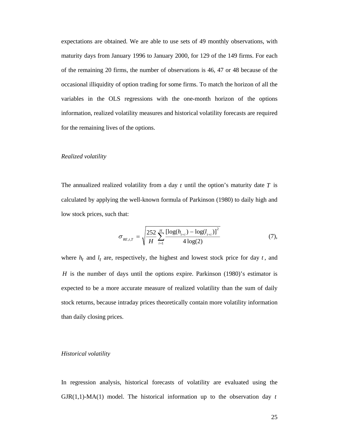expectations are obtained. We are able to use sets of 49 monthly observations, with maturity days from January 1996 to January 2000, for 129 of the 149 firms. For each of the remaining 20 firms, the number of observations is 46, 47 or 48 because of the occasional illiquidity of option trading for some firms. To match the horizon of all the variables in the OLS regressions with the one-month horizon of the options information, realized volatility measures and historical volatility forecasts are required for the remaining lives of the options.

#### *Realized volatility*

The annualized realized volatility from a day *t* until the option's maturity date *T* is calculated by applying the well-known formula of Parkinson (1980) to daily high and low stock prices, such that:

$$
\sigma_{_{RE,t,T}} = \sqrt{\frac{252}{H} \sum_{i=1}^{H} \frac{\left[ \log(h_{_{t+i}}) - \log(l_{_{t+i}}) \right]^2}{4 \log(2)}} \tag{7},
$$

where  $h_t$  and  $l_t$  are, respectively, the highest and lowest stock price for day  $t$ , and *H* is the number of days until the options expire. Parkinson (1980)'s estimator is expected to be a more accurate measure of realized volatility than the sum of daily stock returns, because intraday prices theoretically contain more volatility information than daily closing prices.

#### *Historical volatility*

In regression analysis, historical forecasts of volatility are evaluated using the  $GJR(1,1)-MA(1)$  model. The historical information up to the observation day  $t$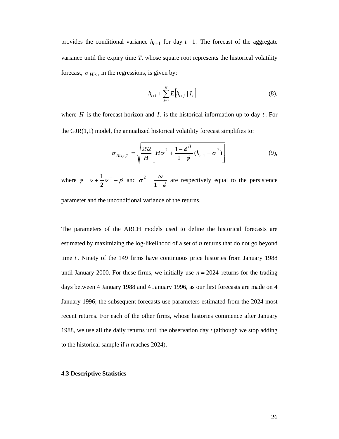provides the conditional variance  $h_{t+1}$  for day  $t+1$ . The forecast of the aggregate variance until the expiry time *T*, whose square root represents the historical volatility forecast,  $\sigma_{His}$ , in the regressions, is given by:

$$
h_{t+1} + \sum_{j=2}^{H} E\Big[ h_{t+j} \mid I_t \Big] \tag{8},
$$

where *H* is the forecast horizon and  $I_t$  is the historical information up to day *t*. For the  $GJR(1,1)$  model, the annualized historical volatility forecast simplifies to:

$$
\sigma_{His,t,T} = \sqrt{\frac{252}{H} \left[ H \sigma^2 + \frac{1 - \phi^H}{1 - \phi} (h_{t+1} - \sigma^2) \right]}
$$
(9),

where  $\phi = \alpha + \frac{1}{2}\alpha^{-} + \beta$ 2  $\frac{1}{2}\alpha^{-} + \beta$  and φ  $\sigma^2 = \frac{\omega}{1-\phi}$  are respectively equal to the persistence

parameter and the unconditional variance of the returns.

The parameters of the ARCH models used to define the historical forecasts are estimated by maximizing the log-likelihood of a set of *n* returns that do not go beyond time *t* . Ninety of the 149 firms have continuous price histories from January 1988 until January 2000. For these firms, we initially use  $n = 2024$  returns for the trading days between 4 January 1988 and 4 January 1996, as our first forecasts are made on 4 January 1996; the subsequent forecasts use parameters estimated from the 2024 most recent returns. For each of the other firms, whose histories commence after January 1988, we use all the daily returns until the observation day *t* (although we stop adding to the historical sample if *n* reaches 2024).

#### **4.3 Descriptive Statistics**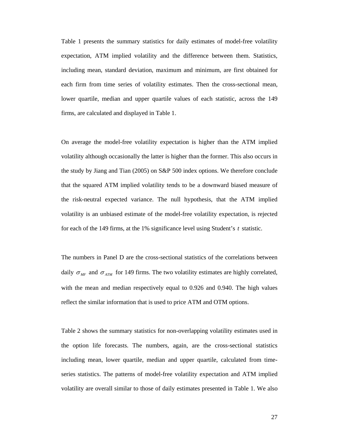Table 1 presents the summary statistics for daily estimates of model-free volatility expectation, ATM implied volatility and the difference between them. Statistics, including mean, standard deviation, maximum and minimum, are first obtained for each firm from time series of volatility estimates. Then the cross-sectional mean, lower quartile, median and upper quartile values of each statistic, across the 149 firms, are calculated and displayed in Table 1.

On average the model-free volatility expectation is higher than the ATM implied volatility although occasionally the latter is higher than the former. This also occurs in the study by Jiang and Tian (2005) on S&P 500 index options. We therefore conclude that the squared ATM implied volatility tends to be a downward biased measure of the risk-neutral expected variance. The null hypothesis, that the ATM implied volatility is an unbiased estimate of the model-free volatility expectation, is rejected for each of the 149 firms, at the 1% significance level using Student's *t* statistic.

The numbers in Panel D are the cross-sectional statistics of the correlations between daily  $\sigma_{MF}$  and  $\sigma_{ATM}$  for 149 firms. The two volatility estimates are highly correlated, with the mean and median respectively equal to 0.926 and 0.940. The high values reflect the similar information that is used to price ATM and OTM options.

Table 2 shows the summary statistics for non-overlapping volatility estimates used in the option life forecasts. The numbers, again, are the cross-sectional statistics including mean, lower quartile, median and upper quartile, calculated from timeseries statistics. The patterns of model-free volatility expectation and ATM implied volatility are overall similar to those of daily estimates presented in Table 1. We also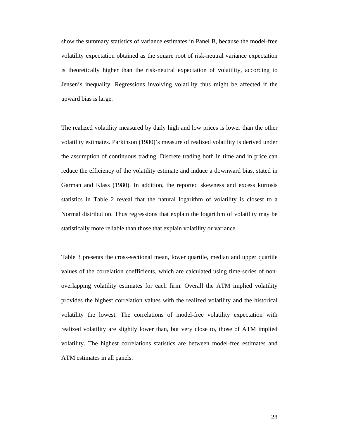show the summary statistics of variance estimates in Panel B, because the model-free volatility expectation obtained as the square root of risk-neutral variance expectation is theoretically higher than the risk-neutral expectation of volatility, according to Jensen's inequality. Regressions involving volatility thus might be affected if the upward bias is large.

The realized volatility measured by daily high and low prices is lower than the other volatility estimates. Parkinson (1980)'s measure of realized volatility is derived under the assumption of continuous trading. Discrete trading both in time and in price can reduce the efficiency of the volatility estimate and induce a downward bias, stated in Garman and Klass (1980). In addition, the reported skewness and excess kurtosis statistics in Table 2 reveal that the natural logarithm of volatility is closest to a Normal distribution. Thus regressions that explain the logarithm of volatility may be statistically more reliable than those that explain volatility or variance.

Table 3 presents the cross-sectional mean, lower quartile, median and upper quartile values of the correlation coefficients, which are calculated using time-series of nonoverlapping volatility estimates for each firm. Overall the ATM implied volatility provides the highest correlation values with the realized volatility and the historical volatility the lowest. The correlations of model-free volatility expectation with realized volatility are slightly lower than, but very close to, those of ATM implied volatility. The highest correlations statistics are between model-free estimates and ATM estimates in all panels.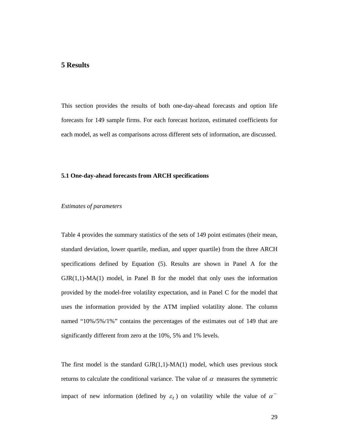# **5 Results**

This section provides the results of both one-day-ahead forecasts and option life forecasts for 149 sample firms. For each forecast horizon, estimated coefficients for each model, as well as comparisons across different sets of information, are discussed.

#### **5.1 One-day-ahead forecasts from ARCH specifications**

#### *Estimates of parameters*

Table 4 provides the summary statistics of the sets of 149 point estimates (their mean, standard deviation, lower quartile, median, and upper quartile) from the three ARCH specifications defined by Equation (5). Results are shown in Panel A for the  $GJR(1,1)-MA(1)$  model, in Panel B for the model that only uses the information provided by the model-free volatility expectation, and in Panel C for the model that uses the information provided by the ATM implied volatility alone. The column named "10%/5%/1%" contains the percentages of the estimates out of 149 that are significantly different from zero at the 10%, 5% and 1% levels.

The first model is the standard  $GJR(1,1)-MA(1)$  model, which uses previous stock returns to calculate the conditional variance. The value of  $\alpha$  measures the symmetric impact of new information (defined by  $\varepsilon_t$ ) on volatility while the value of  $\alpha^-$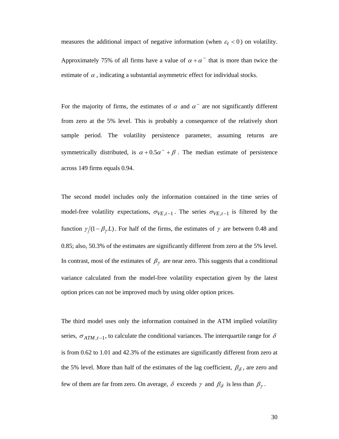measures the additional impact of negative information (when  $\varepsilon_t < 0$ ) on volatility.

Approximately 75% of all firms have a value of  $\alpha + \alpha^{-}$  that is more than twice the estimate of  $\alpha$ , indicating a substantial asymmetric effect for individual stocks.

For the majority of firms, the estimates of  $\alpha$  and  $\alpha^-$  are not significantly different from zero at the 5% level. This is probably a consequence of the relatively short sample period. The volatility persistence parameter, assuming returns are symmetrically distributed, is  $\alpha + 0.5\alpha^{-} + \beta$ . The median estimate of persistence across 149 firms equals 0.94.

The second model includes only the information contained in the time series of model-free volatility expectations,  $\sigma_{VE,t-1}$ . The series  $\sigma_{VE,t-1}$  is filtered by the function  $\gamma/(1 - \beta_{\gamma} L)$ . For half of the firms, the estimates of  $\gamma$  are between 0.48 and 0.85; also, 50.3% of the estimates are significantly different from zero at the 5% level. In contrast, most of the estimates of  $\beta_{\gamma}$  are near zero. This suggests that a conditional variance calculated from the model-free volatility expectation given by the latest option prices can not be improved much by using older option prices.

The third model uses only the information contained in the ATM implied volatility series,  $\sigma_{ATM,t-1}$ , to calculate the conditional variances. The interquartile range for  $\delta$ is from 0.62 to 1.01 and 42.3% of the estimates are significantly different from zero at the 5% level. More than half of the estimates of the lag coefficient,  $\beta_{\delta}$ , are zero and few of them are far from zero. On average,  $\delta$  exceeds  $\gamma$  and  $\beta_{\delta}$  is less than  $\beta_{\gamma}$ .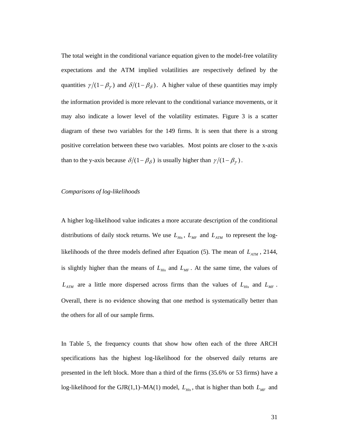The total weight in the conditional variance equation given to the model-free volatility expectations and the ATM implied volatilities are respectively defined by the quantities  $\gamma/(1 - \beta_{\gamma})$  and  $\delta/(1 - \beta_{\delta})$ . A higher value of these quantities may imply the information provided is more relevant to the conditional variance movements, or it may also indicate a lower level of the volatility estimates. Figure 3 is a scatter diagram of these two variables for the 149 firms. It is seen that there is a strong positive correlation between these two variables. Most points are closer to the x-axis than to the y-axis because  $\delta/(1 - \beta_{\delta})$  is usually higher than  $\gamma/(1 - \beta_{\gamma})$ .

#### *Comparisons of log-likelihoods*

A higher log-likelihood value indicates a more accurate description of the conditional distributions of daily stock returns. We use  $L_{His}$ ,  $L_{MF}$  and  $L_{ATM}$  to represent the loglikelihoods of the three models defined after Equation (5). The mean of  $L_{ATM}$ , 2144, is slightly higher than the means of  $L_{His}$  and  $L_{MF}$ . At the same time, the values of  $L_{ATM}$  are a little more dispersed across firms than the values of  $L_{His}$  and  $L_{MF}$ . Overall, there is no evidence showing that one method is systematically better than the others for all of our sample firms.

In Table 5, the frequency counts that show how often each of the three ARCH specifications has the highest log-likelihood for the observed daily returns are presented in the left block. More than a third of the firms (35.6% or 53 firms) have a log-likelihood for the GJR(1,1)–MA(1) model,  $L_{His}$ , that is higher than both  $L_{MF}$  and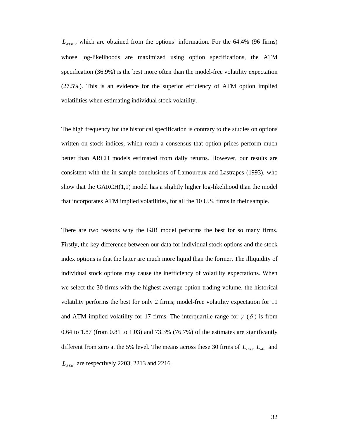$L_{ATM}$ , which are obtained from the options' information. For the 64.4% (96 firms) whose log-likelihoods are maximized using option specifications, the ATM specification (36.9%) is the best more often than the model-free volatility expectation (27.5%). This is an evidence for the superior efficiency of ATM option implied volatilities when estimating individual stock volatility.

The high frequency for the historical specification is contrary to the studies on options written on stock indices, which reach a consensus that option prices perform much better than ARCH models estimated from daily returns. However, our results are consistent with the in-sample conclusions of Lamoureux and Lastrapes (1993), who show that the GARCH(1,1) model has a slightly higher log-likelihood than the model that incorporates ATM implied volatilities, for all the 10 U.S. firms in their sample.

There are two reasons why the GJR model performs the best for so many firms. Firstly, the key difference between our data for individual stock options and the stock index options is that the latter are much more liquid than the former. The illiquidity of individual stock options may cause the inefficiency of volatility expectations. When we select the 30 firms with the highest average option trading volume, the historical volatility performs the best for only 2 firms; model-free volatility expectation for 11 and ATM implied volatility for 17 firms. The interquartile range for  $\gamma$  ( $\delta$ ) is from 0.64 to 1.87 (from 0.81 to 1.03) and 73.3% (76.7%) of the estimates are significantly different from zero at the 5% level. The means across these 30 firms of  $L_{His}$ ,  $L_{MF}$  and *L<sub>ATM</sub>* are respectively 2203, 2213 and 2216.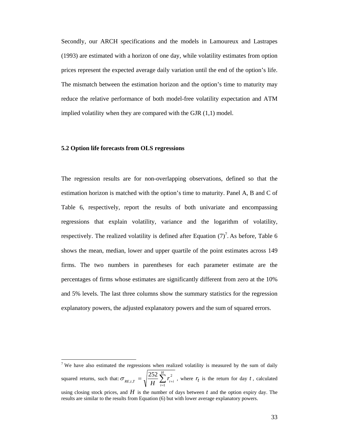Secondly, our ARCH specifications and the models in Lamoureux and Lastrapes (1993) are estimated with a horizon of one day, while volatility estimates from option prices represent the expected average daily variation until the end of the option's life. The mismatch between the estimation horizon and the option's time to maturity may reduce the relative performance of both model-free volatility expectation and ATM implied volatility when they are compared with the GJR (1,1) model.

#### **5.2 Option life forecasts from OLS regressions**

l

The regression results are for non-overlapping observations, defined so that the estimation horizon is matched with the option's time to maturity. Panel A, B and C of Table 6, respectively, report the results of both univariate and encompassing regressions that explain volatility, variance and the logarithm of volatility, respectively. The realized volatility is defined after Equation  $(7)^7$ . As before, Table 6 shows the mean, median, lower and upper quartile of the point estimates across 149 firms. The two numbers in parentheses for each parameter estimate are the percentages of firms whose estimates are significantly different from zero at the 10% and 5% levels. The last three columns show the summary statistics for the regression explanatory powers, the adjusted explanatory powers and the sum of squared errors.

<sup>&</sup>lt;sup>7</sup> We have also estimated the regressions when realized volatility is measured by the sum of daily squared returns, such that:  $\sigma_{RE,t,T} = \sqrt{\frac{252}{H}} \sum_{i=1}^{H} r_{t+}^2$  $\sum_{i=1}^{R} r_{i+i}^2$ 2 ,*t*,  $\sigma_{RE,t,T} = \sqrt{\frac{252}{H} \sum_{i}^{H} r_{t,i}^2}$ , where  $r_t$  is the return for day t, calculated using closing stock prices, and  $H$  is the number of days between  $t$  and the option expiry day. The results are similar to the results from Equation (6) but with lower average explanatory powers.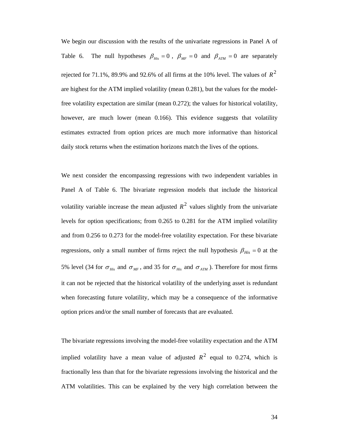We begin our discussion with the results of the univariate regressions in Panel A of Table 6. The null hypotheses  $\beta_{His} = 0$ ,  $\beta_{MF} = 0$  and  $\beta_{ATM} = 0$  are separately rejected for 71.1%, 89.9% and 92.6% of all firms at the 10% level. The values of  $R^2$ are highest for the ATM implied volatility (mean 0.281), but the values for the modelfree volatility expectation are similar (mean 0.272); the values for historical volatility, however, are much lower (mean 0.166). This evidence suggests that volatility estimates extracted from option prices are much more informative than historical daily stock returns when the estimation horizons match the lives of the options.

We next consider the encompassing regressions with two independent variables in Panel A of Table 6. The bivariate regression models that include the historical volatility variable increase the mean adjusted  $R^2$  values slightly from the univariate levels for option specifications; from 0.265 to 0.281 for the ATM implied volatility and from 0.256 to 0.273 for the model-free volatility expectation. For these bivariate regressions, only a small number of firms reject the null hypothesis  $\beta_{His} = 0$  at the 5% level (34 for  $\sigma_{His}$  and  $\sigma_{MF}$ , and 35 for  $\sigma_{His}$  and  $\sigma_{ATM}$ ). Therefore for most firms it can not be rejected that the historical volatility of the underlying asset is redundant when forecasting future volatility, which may be a consequence of the informative option prices and/or the small number of forecasts that are evaluated.

The bivariate regressions involving the model-free volatility expectation and the ATM implied volatility have a mean value of adjusted  $R^2$  equal to 0.274, which is fractionally less than that for the bivariate regressions involving the historical and the ATM volatilities. This can be explained by the very high correlation between the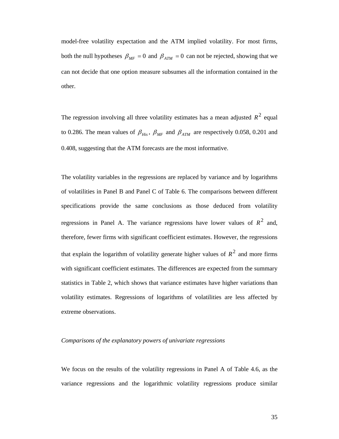model-free volatility expectation and the ATM implied volatility. For most firms, both the null hypotheses  $\beta_{MF} = 0$  and  $\beta_{ATM} = 0$  can not be rejected, showing that we can not decide that one option measure subsumes all the information contained in the other.

The regression involving all three volatility estimates has a mean adjusted  $R^2$  equal to 0.286. The mean values of  $\beta_{His}$ ,  $\beta_{MF}$  and  $\beta_{ATM}$  are respectively 0.058, 0.201 and 0.408, suggesting that the ATM forecasts are the most informative.

The volatility variables in the regressions are replaced by variance and by logarithms of volatilities in Panel B and Panel C of Table 6. The comparisons between different specifications provide the same conclusions as those deduced from volatility regressions in Panel A. The variance regressions have lower values of  $R^2$  and, therefore, fewer firms with significant coefficient estimates. However, the regressions that explain the logarithm of volatility generate higher values of  $R^2$  and more firms with significant coefficient estimates. The differences are expected from the summary statistics in Table 2, which shows that variance estimates have higher variations than volatility estimates. Regressions of logarithms of volatilities are less affected by extreme observations.

#### *Comparisons of the explanatory powers of univariate regressions*

We focus on the results of the volatility regressions in Panel A of Table 4.6, as the variance regressions and the logarithmic volatility regressions produce similar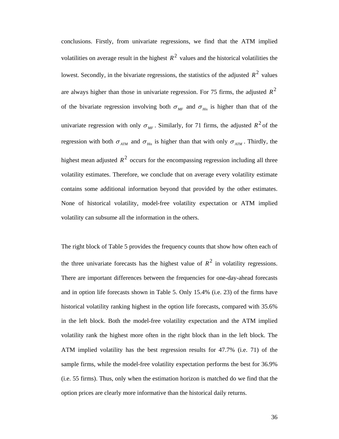conclusions. Firstly, from univariate regressions, we find that the ATM implied volatilities on average result in the highest  $R^2$  values and the historical volatilities the lowest. Secondly, in the bivariate regressions, the statistics of the adjusted  $R^2$  values are always higher than those in univariate regression. For 75 firms, the adjusted  $R^2$ of the bivariate regression involving both  $\sigma_{MF}$  and  $\sigma_{His}$  is higher than that of the univariate regression with only  $\sigma_{MF}$ . Similarly, for 71 firms, the adjusted  $R^2$  of the regression with both  $\sigma_{ATM}$  and  $\sigma_{His}$  is higher than that with only  $\sigma_{ATM}$ . Thirdly, the highest mean adjusted  $R^2$  occurs for the encompassing regression including all three volatility estimates. Therefore, we conclude that on average every volatility estimate contains some additional information beyond that provided by the other estimates. None of historical volatility, model-free volatility expectation or ATM implied volatility can subsume all the information in the others.

The right block of Table 5 provides the frequency counts that show how often each of the three univariate forecasts has the highest value of  $R^2$  in volatility regressions. There are important differences between the frequencies for one-day-ahead forecasts and in option life forecasts shown in Table 5. Only 15.4% (i.e. 23) of the firms have historical volatility ranking highest in the option life forecasts, compared with 35.6% in the left block. Both the model-free volatility expectation and the ATM implied volatility rank the highest more often in the right block than in the left block. The ATM implied volatility has the best regression results for 47.7% (i.e. 71) of the sample firms, while the model-free volatility expectation performs the best for 36.9% (i.e. 55 firms). Thus, only when the estimation horizon is matched do we find that the option prices are clearly more informative than the historical daily returns.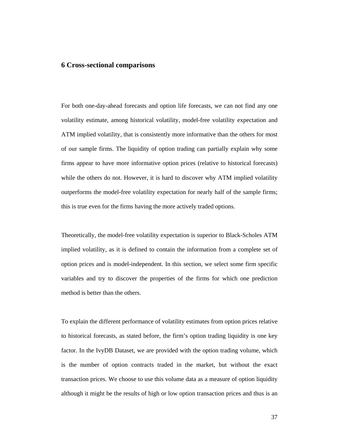# **6 Cross-sectional comparisons**

For both one-day-ahead forecasts and option life forecasts, we can not find any one volatility estimate, among historical volatility, model-free volatility expectation and ATM implied volatility, that is consistently more informative than the others for most of our sample firms. The liquidity of option trading can partially explain why some firms appear to have more informative option prices (relative to historical forecasts) while the others do not. However, it is hard to discover why ATM implied volatility outperforms the model-free volatility expectation for nearly half of the sample firms; this is true even for the firms having the more actively traded options.

Theoretically, the model-free volatility expectation is superior to Black-Scholes ATM implied volatility, as it is defined to contain the information from a complete set of option prices and is model-independent. In this section, we select some firm specific variables and try to discover the properties of the firms for which one prediction method is better than the others.

To explain the different performance of volatility estimates from option prices relative to historical forecasts, as stated before, the firm's option trading liquidity is one key factor. In the IvyDB Dataset, we are provided with the option trading volume, which is the number of option contracts traded in the market, but without the exact transaction prices. We choose to use this volume data as a measure of option liquidity although it might be the results of high or low option transaction prices and thus is an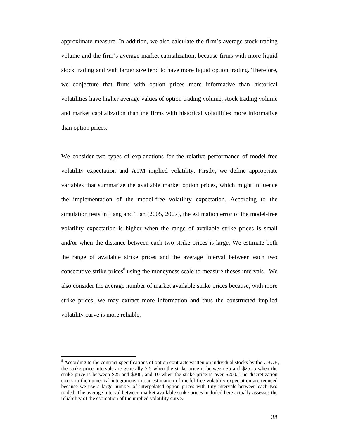approximate measure. In addition, we also calculate the firm's average stock trading volume and the firm's average market capitalization, because firms with more liquid stock trading and with larger size tend to have more liquid option trading. Therefore, we conjecture that firms with option prices more informative than historical volatilities have higher average values of option trading volume, stock trading volume and market capitalization than the firms with historical volatilities more informative than option prices.

We consider two types of explanations for the relative performance of model-free volatility expectation and ATM implied volatility. Firstly, we define appropriate variables that summarize the available market option prices, which might influence the implementation of the model-free volatility expectation. According to the simulation tests in Jiang and Tian (2005, 2007), the estimation error of the model-free volatility expectation is higher when the range of available strike prices is small and/or when the distance between each two strike prices is large. We estimate both the range of available strike prices and the average interval between each two consecutive strike prices<sup>8</sup> using the moneyness scale to measure theses intervals. We also consider the average number of market available strike prices because, with more strike prices, we may extract more information and thus the constructed implied volatility curve is more reliable.

l

 $8$  According to the contract specifications of option contracts written on individual stocks by the CBOE, the strike price intervals are generally 2.5 when the strike price is between \$5 and \$25, 5 when the strike price is between \$25 and \$200, and 10 when the strike price is over \$200. The discretization errors in the numerical integrations in our estimation of model-free volatility expectation are reduced because we use a large number of interpolated option prices with tiny intervals between each two traded. The average interval between market available strike prices included here actually assesses the reliability of the estimation of the implied volatility curve.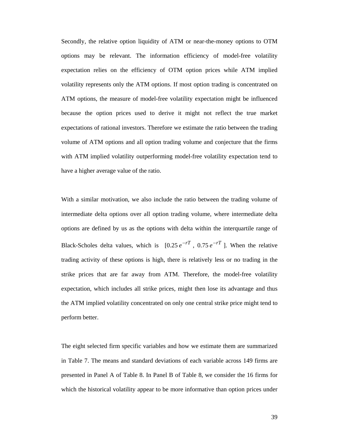Secondly, the relative option liquidity of ATM or near-the-money options to OTM options may be relevant. The information efficiency of model-free volatility expectation relies on the efficiency of OTM option prices while ATM implied volatility represents only the ATM options. If most option trading is concentrated on ATM options, the measure of model-free volatility expectation might be influenced because the option prices used to derive it might not reflect the true market expectations of rational investors. Therefore we estimate the ratio between the trading volume of ATM options and all option trading volume and conjecture that the firms with ATM implied volatility outperforming model-free volatility expectation tend to have a higher average value of the ratio.

With a similar motivation, we also include the ratio between the trading volume of intermediate delta options over all option trading volume, where intermediate delta options are defined by us as the options with delta within the interquartile range of Black-Scholes delta values, which is  $[0.25 e^{-rT}$ ,  $0.75 e^{-rT}$ ]. When the relative trading activity of these options is high, there is relatively less or no trading in the strike prices that are far away from ATM. Therefore, the model-free volatility expectation, which includes all strike prices, might then lose its advantage and thus the ATM implied volatility concentrated on only one central strike price might tend to perform better.

The eight selected firm specific variables and how we estimate them are summarized in Table 7. The means and standard deviations of each variable across 149 firms are presented in Panel A of Table 8. In Panel B of Table 8, we consider the 16 firms for which the historical volatility appear to be more informative than option prices under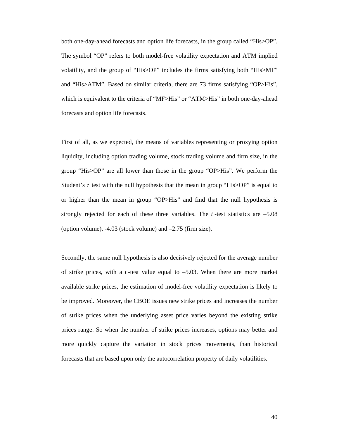both one-day-ahead forecasts and option life forecasts, in the group called "His>OP". The symbol "OP" refers to both model-free volatility expectation and ATM implied volatility, and the group of "His>OP" includes the firms satisfying both "His>MF" and "His>ATM". Based on similar criteria, there are 73 firms satisfying "OP>His", which is equivalent to the criteria of "MF>His" or "ATM>His" in both one-day-ahead forecasts and option life forecasts.

First of all, as we expected, the means of variables representing or proxying option liquidity, including option trading volume, stock trading volume and firm size, in the group "His>OP" are all lower than those in the group "OP>His". We perform the Student's *t* test with the null hypothesis that the mean in group "His $\ge$ OP" is equal to or higher than the mean in group "OP>His" and find that the null hypothesis is strongly rejected for each of these three variables. The  $t$ -test statistics are  $-5.08$ (option volume), -4.03 (stock volume) and –2.75 (firm size).

Secondly, the same null hypothesis is also decisively rejected for the average number of strike prices, with a *t* -test value equal to –5.03. When there are more market available strike prices, the estimation of model-free volatility expectation is likely to be improved. Moreover, the CBOE issues new strike prices and increases the number of strike prices when the underlying asset price varies beyond the existing strike prices range. So when the number of strike prices increases, options may better and more quickly capture the variation in stock prices movements, than historical forecasts that are based upon only the autocorrelation property of daily volatilities.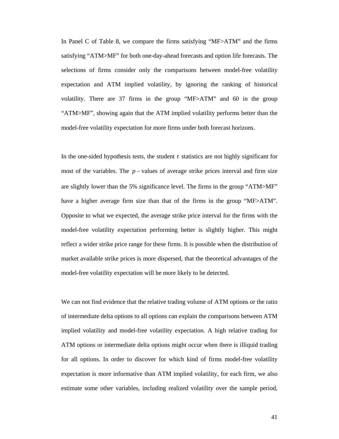In Panel C of Table 8, we compare the firms satisfying "MF>ATM" and the firms satisfying "ATM>MF" for both one-day-ahead forecasts and option life forecasts. The selections of firms consider only the comparisons between model-free volatility expectation and ATM implied volatility, by ignoring the ranking of historical volatility. There are 37 firms in the group "MF>ATM" and 60 in the group "ATM>MF", showing again that the ATM implied volatility performs better than the model-free volatility expectation for more firms under both forecast horizons.

In the one-sided hypothesis tests, the student *t* statistics are not highly significant for most of the variables. The *p* − values of average strike prices interval and firm size are slightly lower than the 5% significance level. The firms in the group "ATM>MF" have a higher average firm size than that of the firms in the group "MF>ATM". Opposite to what we expected, the average strike price interval for the firms with the model-free volatility expectation performing better is slightly higher. This might reflect a wider strike price range for these firms. It is possible when the distribution of market available strike prices is more dispersed, that the theoretical advantages of the model-free volatility expectation will be more likely to be detected.

We can not find evidence that the relative trading volume of ATM options or the ratio of intermediate delta options to all options can explain the comparisons between ATM implied volatility and model-free volatility expectation. A high relative trading for ATM options or intermediate delta options might occur when there is illiquid trading for all options. In order to discover for which kind of firms model-free volatility expectation is more informative than ATM implied volatility, for each firm, we also estimate some other variables, including realized volatility over the sample period,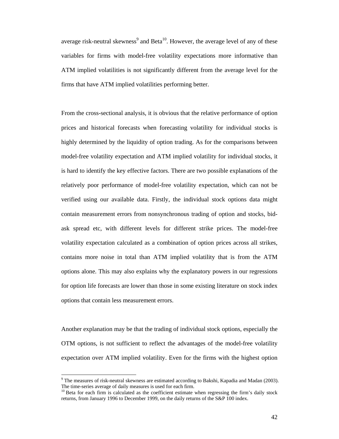average risk-neutral skewness<sup>9</sup> and Beta<sup>10</sup>. However, the average level of any of these variables for firms with model-free volatility expectations more informative than ATM implied volatilities is not significantly different from the average level for the firms that have ATM implied volatilities performing better.

From the cross-sectional analysis, it is obvious that the relative performance of option prices and historical forecasts when forecasting volatility for individual stocks is highly determined by the liquidity of option trading. As for the comparisons between model-free volatility expectation and ATM implied volatility for individual stocks, it is hard to identify the key effective factors. There are two possible explanations of the relatively poor performance of model-free volatility expectation, which can not be verified using our available data. Firstly, the individual stock options data might contain measurement errors from nonsynchronous trading of option and stocks, bidask spread etc, with different levels for different strike prices. The model-free volatility expectation calculated as a combination of option prices across all strikes, contains more noise in total than ATM implied volatility that is from the ATM options alone. This may also explains why the explanatory powers in our regressions for option life forecasts are lower than those in some existing literature on stock index options that contain less measurement errors.

Another explanation may be that the trading of individual stock options, especially the OTM options, is not sufficient to reflect the advantages of the model-free volatility expectation over ATM implied volatility. Even for the firms with the highest option

 $\overline{a}$ 

<sup>&</sup>lt;sup>9</sup> The measures of risk-neutral skewness are estimated according to Bakshi, Kapadia and Madan (2003). The time-series average of daily measures is used for each firm.

 $10$  Beta for each firm is calculated as the coefficient estimate when regressing the firm's daily stock returns, from January 1996 to December 1999, on the daily returns of the S&P 100 index.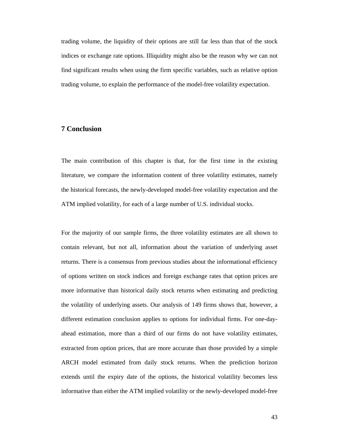trading volume, the liquidity of their options are still far less than that of the stock indices or exchange rate options. Illiquidity might also be the reason why we can not find significant results when using the firm specific variables, such as relative option trading volume, to explain the performance of the model-free volatility expectation.

# **7 Conclusion**

The main contribution of this chapter is that, for the first time in the existing literature, we compare the information content of three volatility estimates, namely the historical forecasts, the newly-developed model-free volatility expectation and the ATM implied volatility, for each of a large number of U.S. individual stocks.

For the majority of our sample firms, the three volatility estimates are all shown to contain relevant, but not all, information about the variation of underlying asset returns. There is a consensus from previous studies about the informational efficiency of options written on stock indices and foreign exchange rates that option prices are more informative than historical daily stock returns when estimating and predicting the volatility of underlying assets. Our analysis of 149 firms shows that, however, a different estimation conclusion applies to options for individual firms. For one-dayahead estimation, more than a third of our firms do not have volatility estimates, extracted from option prices, that are more accurate than those provided by a simple ARCH model estimated from daily stock returns. When the prediction horizon extends until the expiry date of the options, the historical volatility becomes less informative than either the ATM implied volatility or the newly-developed model-free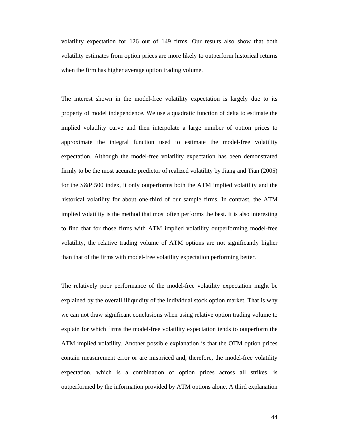volatility expectation for 126 out of 149 firms. Our results also show that both volatility estimates from option prices are more likely to outperform historical returns when the firm has higher average option trading volume.

The interest shown in the model-free volatility expectation is largely due to its property of model independence. We use a quadratic function of delta to estimate the implied volatility curve and then interpolate a large number of option prices to approximate the integral function used to estimate the model-free volatility expectation. Although the model-free volatility expectation has been demonstrated firmly to be the most accurate predictor of realized volatility by Jiang and Tian (2005) for the S&P 500 index, it only outperforms both the ATM implied volatility and the historical volatility for about one-third of our sample firms. In contrast, the ATM implied volatility is the method that most often performs the best. It is also interesting to find that for those firms with ATM implied volatility outperforming model-free volatility, the relative trading volume of ATM options are not significantly higher than that of the firms with model-free volatility expectation performing better.

The relatively poor performance of the model-free volatility expectation might be explained by the overall illiquidity of the individual stock option market. That is why we can not draw significant conclusions when using relative option trading volume to explain for which firms the model-free volatility expectation tends to outperform the ATM implied volatility. Another possible explanation is that the OTM option prices contain measurement error or are mispriced and, therefore, the model-free volatility expectation, which is a combination of option prices across all strikes, is outperformed by the information provided by ATM options alone. A third explanation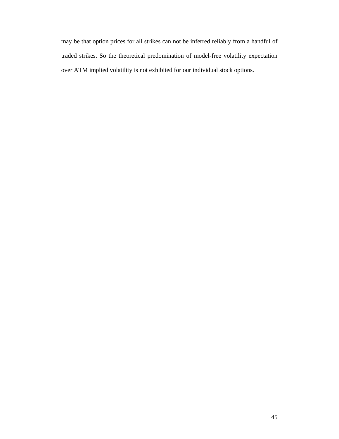may be that option prices for all strikes can not be inferred reliably from a handful of traded strikes. So the theoretical predomination of model-free volatility expectation over ATM implied volatility is not exhibited for our individual stock options.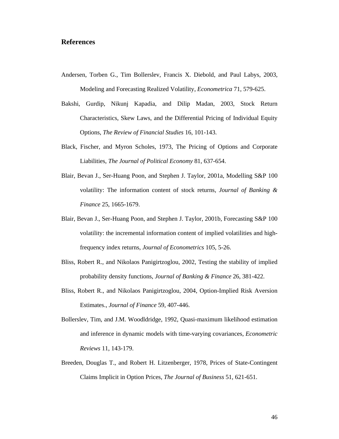# **References**

- Andersen, Torben G., Tim Bollerslev, Francis X. Diebold, and Paul Labys, 2003, Modeling and Forecasting Realized Volatility, *Econometrica* 71, 579-625.
- Bakshi, Gurdip, Nikunj Kapadia, and Dilip Madan, 2003, Stock Return Characteristics, Skew Laws, and the Differential Pricing of Individual Equity Options, *The Review of Financial Studies* 16, 101-143.
- Black, Fischer, and Myron Scholes, 1973, The Pricing of Options and Corporate Liabilities, *The Journal of Political Economy* 81, 637-654.
- Blair, Bevan J., Ser-Huang Poon, and Stephen J. Taylor, 2001a, Modelling S&P 100 volatility: The information content of stock returns, *Journal of Banking & Finance* 25, 1665-1679.
- Blair, Bevan J., Ser-Huang Poon, and Stephen J. Taylor, 2001b, Forecasting S&P 100 volatility: the incremental information content of implied volatilities and highfrequency index returns, *Journal of Econometrics* 105, 5-26.
- Bliss, Robert R., and Nikolaos Panigirtzoglou, 2002, Testing the stability of implied probability density functions, *Journal of Banking & Finance* 26, 381-422.
- Bliss, Robert R., and Nikolaos Panigirtzoglou, 2004, Option-Implied Risk Aversion Estimates., *Journal of Finance* 59, 407-446.
- Bollerslev, Tim, and J.M. Woodldridge, 1992, Quasi-maximum likelihood estimation and inference in dynamic models with time-varying covariances, *Econometric Reviews* 11, 143-179.
- Breeden, Douglas T., and Robert H. Litzenberger, 1978, Prices of State-Contingent Claims Implicit in Option Prices, *The Journal of Business* 51, 621-651.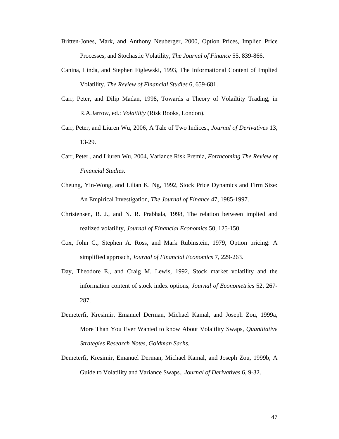- Britten-Jones, Mark, and Anthony Neuberger, 2000, Option Prices, Implied Price Processes, and Stochastic Volatility, *The Journal of Finance* 55, 839-866.
- Canina, Linda, and Stephen Figlewski, 1993, The Informational Content of Implied Volatility, *The Review of Financial Studies* 6, 659-681.
- Carr, Peter, and Dilip Madan, 1998, Towards a Theory of Volailtity Trading, in R.A.Jarrow, ed.: *Volatility* (Risk Books, London).
- Carr, Peter, and Liuren Wu, 2006, A Tale of Two Indices., *Journal of Derivatives* 13, 13-29.
- Carr, Peter., and Liuren Wu, 2004, Variance Risk Premia, *Forthcoming The Review of Financial Studies*.
- Cheung, Yin-Wong, and Lilian K. Ng, 1992, Stock Price Dynamics and Firm Size: An Empirical Investigation, *The Journal of Finance* 47, 1985-1997.
- Christensen, B. J., and N. R. Prabhala, 1998, The relation between implied and realized volatility, *Journal of Financial Economics* 50, 125-150.
- Cox, John C., Stephen A. Ross, and Mark Rubinstein, 1979, Option pricing: A simplified approach, *Journal of Financial Economics* 7, 229-263.
- Day, Theodore E., and Craig M. Lewis, 1992, Stock market volatility and the information content of stock index options, *Journal of Econometrics* 52, 267- 287.
- Demeterfi, Kresimir, Emanuel Derman, Michael Kamal, and Joseph Zou, 1999a, More Than You Ever Wanted to know About Volaitlity Swaps, *Quantitative Strategies Research Notes, Goldman Sachs*.
- Demeterfi, Kresimir, Emanuel Derman, Michael Kamal, and Joseph Zou, 1999b, A Guide to Volatility and Variance Swaps., *Journal of Derivatives* 6, 9-32.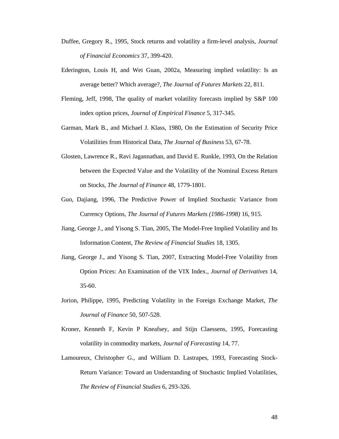- Duffee, Gregory R., 1995, Stock returns and volatility a firm-level analysis, *Journal of Financial Economics* 37, 399-420.
- Ederington, Louis H, and Wei Guan, 2002a, Measuring implied volatility: Is an average better? Which average?, *The Journal of Futures Markets* 22, 811.
- Fleming, Jeff, 1998, The quality of market volatility forecasts implied by S&P 100 index option prices, *Journal of Empirical Finance* 5, 317-345.
- Garman, Mark B., and Michael J. Klass, 1980, On the Estimation of Security Price Volatilities from Historical Data, *The Journal of Business* 53, 67-78.
- Glosten, Lawrence R., Ravi Jagannathan, and David E. Runkle, 1993, On the Relation between the Expected Value and the Volatility of the Nominal Excess Return on Stocks, *The Journal of Finance* 48, 1779-1801.
- Guo, Dajiang, 1996, The Predictive Power of Implied Stochastic Variance from Currency Options, *The Journal of Futures Markets (1986-1998)* 16, 915.
- Jiang, George J., and Yisong S. Tian, 2005, The Model-Free Implied Volatility and Its Information Content, *The Review of Financial Studies* 18, 1305.
- Jiang, George J., and Yisong S. Tian, 2007, Extracting Model-Free Volatility from Option Prices: An Examination of the VIX Index., *Journal of Derivatives* 14, 35-60.
- Jorion, Philippe, 1995, Predicting Volatility in the Foreign Exchange Market, *The Journal of Finance* 50, 507-528.
- Kroner, Kenneth F, Kevin P Kneafsey, and Stijn Claessens, 1995, Forecasting volatility in commodity markets, *Journal of Forecasting* 14, 77.
- Lamoureux, Christopher G., and William D. Lastrapes, 1993, Forecasting Stock-Return Variance: Toward an Understanding of Stochastic Implied Volatilities, *The Review of Financial Studies* 6, 293-326.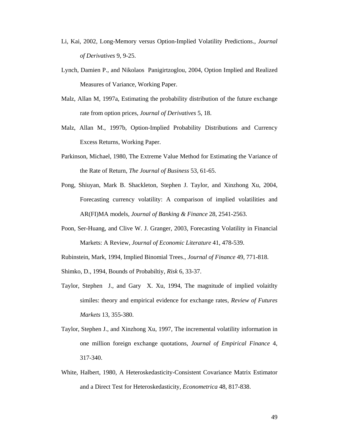- Li, Kai, 2002, Long-Memory versus Option-Implied Volatility Predictions., *Journal of Derivatives* 9, 9-25.
- Lynch, Damien P., and Nikolaos Panigirtzoglou, 2004, Option Implied and Realized Measures of Variance, Working Paper.
- Malz, Allan M, 1997a, Estimating the probability distribution of the future exchange rate from option prices, *Journal of Derivatives* 5, 18.
- Malz, Allan M., 1997b, Option-Implied Probability Distributions and Currency Excess Returns, Working Paper.
- Parkinson, Michael, 1980, The Extreme Value Method for Estimating the Variance of the Rate of Return, *The Journal of Business* 53, 61-65.
- Pong, Shiuyan, Mark B. Shackleton, Stephen J. Taylor, and Xinzhong Xu, 2004, Forecasting currency volatility: A comparison of implied volatilities and AR(FI)MA models, *Journal of Banking & Finance* 28, 2541-2563.
- Poon, Ser-Huang, and Clive W. J. Granger, 2003, Forecasting Volatility in Financial Markets: A Review, *Journal of Economic Literature* 41, 478-539.
- Rubinstein, Mark, 1994, Implied Binomial Trees., *Journal of Finance* 49, 771-818.
- Shimko, D., 1994, Bounds of Probabiltiy, *Risk* 6, 33-37.
- Taylor, Stephen J., and Gary X. Xu, 1994, The magnitude of implied volaitlty similes: theory and empirical evidence for exchange rates, *Review of Futures Markets* 13, 355-380.
- Taylor, Stephen J., and Xinzhong Xu, 1997, The incremental volatility information in one million foreign exchange quotations, *Journal of Empirical Finance* 4, 317-340.
- White, Halbert, 1980, A Heteroskedasticity-Consistent Covariance Matrix Estimator and a Direct Test for Heteroskedasticity, *Econometrica* 48, 817-838.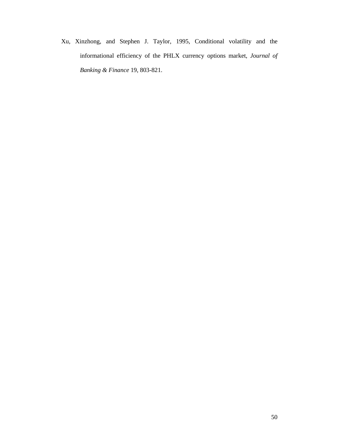Xu, Xinzhong, and Stephen J. Taylor, 1995, Conditional volatility and the informational efficiency of the PHLX currency options market, *Journal of Banking & Finance* 19, 803-821.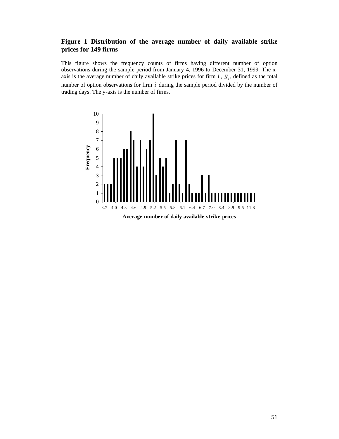# **Figure 1 Distribution of the average number of daily available strike prices for 149 firms**

This figure shows the frequency counts of firms having different number of option observations during the sample period from January 4, 1996 to December 31, 1999. The xaxis is the average number of daily available strike prices for firm  $i$ ,  $\overline{N}_i$ , defined as the total number of option observations for firm *i* during the sample period divided by the number of trading days. The y-axis is the number of firms.

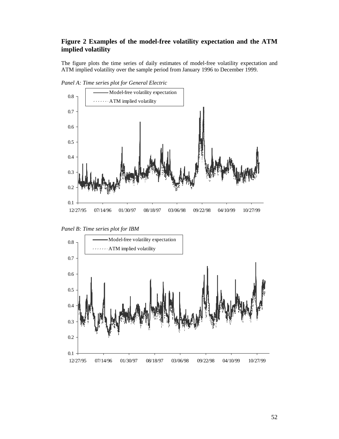# **Figure 2 Examples of the model-free volatility expectation and the ATM implied volatility**

The figure plots the time series of daily estimates of model-free volatility expectation and ATM implied volatility over the sample period from January 1996 to December 1999.



*Panel A: Time series plot for General Electric* 



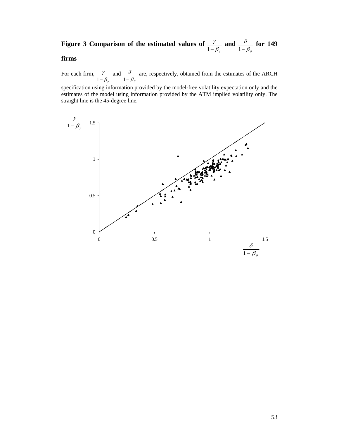# **Figure 3 Comparison of the estimated values of**  $\frac{\gamma}{1-\beta_{\gamma}}$  **and**  $\frac{\partial}{1-\beta_{\delta}}$  $\frac{\delta}{1-\beta_s}$  for 149

# **firms**

For each firm,  $\beta_{_{\gamma}}$ γ 1− and  $\pmb{\beta}_{\delta}$ δ 1− are, respectively, obtained from the estimates of the ARCH

specification using information provided by the model-free volatility expectation only and the estimates of the model using information provided by the ATM implied volatility only. The straight line is the 45-degree line.

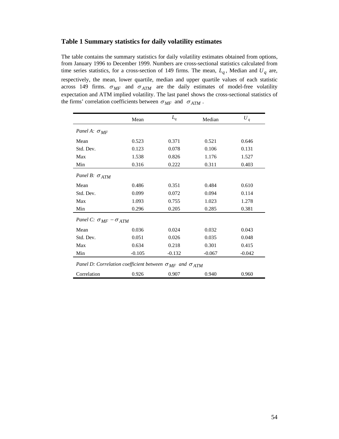#### **Table 1 Summary statistics for daily volatility estimates**

The table contains the summary statistics for daily volatility estimates obtained from options, from January 1996 to December 1999. Numbers are cross-sectional statistics calculated from time series statistics, for a cross-section of 149 firms. The mean,  $L_q$ , Median and  $U_q$  are, respectively, the mean, lower quartile, median and upper quartile values of each statistic across 149 firms.  $\sigma_{MF}$  and  $\sigma_{ATM}$  are the daily estimates of model-free volatility expectation and ATM implied volatility. The last panel shows the cross-sectional statistics of the firms' correlation coefficients between  $\sigma_{MF}$  and  $\sigma_{ATM}$ .

|                                                                           | Mean     | $L_q$    | Median   | $U_q$    |
|---------------------------------------------------------------------------|----------|----------|----------|----------|
| Panel A: $\sigma_{MF}$                                                    |          |          |          |          |
| Mean                                                                      | 0.523    | 0.371    | 0.521    | 0.646    |
| Std. Dev.                                                                 | 0.123    | 0.078    | 0.106    | 0.131    |
| Max                                                                       | 1.538    | 0.826    | 1.176    | 1.527    |
| Min                                                                       | 0.316    | 0.222    | 0.311    | 0.403    |
| Panel B: $\sigma_{ATM}$                                                   |          |          |          |          |
| Mean                                                                      | 0.486    | 0.351    | 0.484    | 0.610    |
| Std. Dev.                                                                 | 0.099    | 0.072    | 0.094    | 0.114    |
| Max                                                                       | 1.093    | 0.755    | 1.023    | 1.278    |
| Min                                                                       | 0.296    | 0.205    | 0.285    | 0.381    |
| Panel C: $\sigma_{MF} - \sigma_{ATM}$                                     |          |          |          |          |
| Mean                                                                      | 0.036    | 0.024    | 0.032    | 0.043    |
| Std. Dev.                                                                 | 0.051    | 0.026    | 0.035    | 0.048    |
| Max                                                                       | 0.634    | 0.218    | 0.301    | 0.415    |
| Min                                                                       | $-0.105$ | $-0.132$ | $-0.067$ | $-0.042$ |
| Panel D: Correlation coefficient between $\sigma_{MF}$ and $\sigma_{ATM}$ |          |          |          |          |
| Correlation                                                               | 0.926    | 0.907    | 0.940    | 0.960    |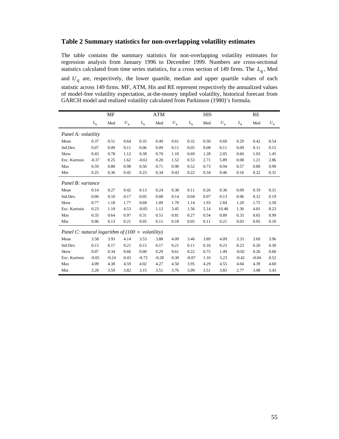#### **Table 2 Summary statistics for non-overlapping volatility estimates**

The table contains the summary statistics for non-overlapping volatility estimates for regression analysis from January 1996 to December 1999. Numbers are cross-sectional statistics calculated from time series statistics, for a cross section of 149 firms. The  $L_q$ , Med and *Uq* are, respectively, the lower quartile, median and upper quartile values of each statistic across 149 firms. MF, ATM, His and RE represent respectively the annualized values of model-free volatility expectation, at-the-money implied volatility, historical forecast from GARCH model and realized volatility calculated from Parkinson (1980)'s formula.

|                                                         |         | MF      |       |         | <b>ATM</b> |       |         | <b>HIS</b> |       |         | RE      |       |
|---------------------------------------------------------|---------|---------|-------|---------|------------|-------|---------|------------|-------|---------|---------|-------|
|                                                         | $L_q$   | Med     | $U_q$ | $L_q$   | Med        | $U_q$ | $L_q$   | Med        | $U_q$ | $L_q$   | Med     | $U_q$ |
| Panel A: volatility                                     |         |         |       |         |            |       |         |            |       |         |         |       |
| Mean                                                    | 0.37    | 0.51    | 0.64  | 0.35    | 0.49       | 0.61  | 0.32    | 0.50       | 0.60  | 0.29    | 0.42    | 0.54  |
| Std.Dev.                                                | 0.07    | 0.09    | 0.11  | 0.06    | 0.09       | 0.11  | 0.05    | 0.08       | 0.11  | 0.09    | 0.11    | 0.15  |
| Skew                                                    | 0.43    | 0.78    | 1.12  | 0.38    | 0.70       | 1.10  | 0.69    | 1.28       | 2.05  | 0.60    | 1.03    | 1.45  |
| Exc. Kurtosis                                           | $-0.37$ | 0.25    | 1.62  | $-0.61$ | 0.20       | 1.52  | 0.53    | 2.71       | 5.89  | 0.08    | 1.21    | 2.86  |
| Max                                                     | 0.59    | 0.80    | 0.98  | 0.56    | 0.71       | 0.90  | 0.52    | 0.73       | 0.94  | 0.57    | 0.80    | 0.99  |
| Min                                                     | 0.25    | 0.36    | 0.45  | 0.23    | 0.34       | 0.43  | 0.22    | 0.34       | 0.46  | 0.16    | 0.22    | 0.31  |
| Panel B: variance                                       |         |         |       |         |            |       |         |            |       |         |         |       |
| Mean                                                    | 0.14    | 0.27    | 0.42  | 0.13    | 0.24       | 0.38  | 0.11    | 0.26       | 0.36  | 0.09    | 0.19    | 0.31  |
| Std.Dev.                                                | 0.06    | 0.10    | 0.17  | 0.05    | 0.08       | 0.14  | 0.04    | 0.07       | 0.13  | 0.06    | 0.12    | 0.19  |
| Skew                                                    | 0.77    | 1.18    | 1.77  | 0.68    | 1.09       | 1.70  | 1.14    | 1.93       | 2.84  | 1.20    | 1.75    | 2.58  |
| Exc. Kurtosis                                           | 0.23    | 1.10    | 4.53  | $-0.05$ | 1.12       | 3.45  | 1.56    | 5.14       | 10.48 | 1.36    | 4.01    | 8.23  |
| Max                                                     | 0.35    | 0.64    | 0.97  | 0.31    | 0.51       | 0.81  | 0.27    | 0.54       | 0.89  | 0.33    | 0.65    | 0.99  |
| Min                                                     | 0.06    | 0.13    | 0.21  | 0.05    | 0.11       | 0.18  | 0.05    | 0.11       | 0.21  | 0.03    | 0.05    | 0.10  |
| Panel C: natural logarithm of (100 $\times$ volatility) |         |         |       |         |            |       |         |            |       |         |         |       |
| Mean                                                    | 3.58    | 3.93    | 4.14  | 3.53    | 3.88       | 4.09  | 3.46    | 3.89       | 4.09  | 3.33    | 3.69    | 3.96  |
| Std.Dev.                                                | 0.15    | 0.17    | 0.21  | 0.15    | 0.17       | 0.21  | 0.11    | 0.16       | 0.23  | 0.23    | 0.26    | 0.30  |
| Skew                                                    | 0.07    | 0.34    | 0.66  | 0.00    | 0.29       | 0.61  | 0.22    | 0.75       | 1.49  | $-0.02$ | 0.26    | 0.60  |
| Exc. Kurtosis                                           | $-0.65$ | $-0.24$ | 0.43  | $-0.73$ | $-0.28$    | 0.30  | $-0.07$ | 1.16       | 3.23  | $-0.42$ | $-0.04$ | 0.52  |
| Max                                                     | 4.09    | 4.38    | 4.59  | 4.02    | 4.27       | 4.50  | 3.95    | 4.29       | 4.55  | 4.04    | 4.39    | 4.60  |
| Min                                                     | 3.20    | 3.59    | 3.82  | 3.15    | 3.51       | 3.76  | 3.09    | 3.51       | 3.83  | 2.77    | 3.08    | 3.43  |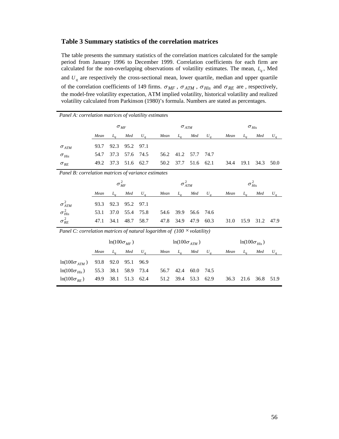#### **Table 3 Summary statistics of the correlation matrices**

The table presents the summary statistics of the correlation matrices calculated for the sample period from January 1996 to December 1999. Correlation coefficients for each firm are calculated for the non-overlapping observations of volatility estimates. The mean,  $L_q$ , Med and  $U_q$  are respectively the cross-sectional mean, lower quartile, median and upper quartile of the correlation coefficients of 149 firms.  $\sigma_{MF}$ ,  $\sigma_{ATM}$ ,  $\sigma_{His}$  and  $\sigma_{RE}$  are, respectively, the model-free volatility expectation, ATM implied volatility, historical volatility and realized volatility calculated from Parkinson (1980)'s formula. Numbers are stated as percentages.

| Panel A: correlation matrices of volatility estimates                           |      |                      |      |                     |      |                         |      |       |      |                       |      |           |  |
|---------------------------------------------------------------------------------|------|----------------------|------|---------------------|------|-------------------------|------|-------|------|-----------------------|------|-----------|--|
|                                                                                 |      | $\sigma_{MF}$        |      |                     |      | $\sigma$ <sub>ATM</sub> |      |       |      | $\sigma_{His}$        |      |           |  |
|                                                                                 | Mean | $L_a$                | Med  | $U_{\underline{q}}$ | Mean | $L_a$                   | Med  | $U_q$ | Mean | $L_a$                 | Med  | $U_q$     |  |
| $\sigma$ <sub>ATM</sub>                                                         | 93.7 | 92.3                 | 95.2 | 97.1                |      |                         |      |       |      |                       |      |           |  |
| $\sigma_{His}$                                                                  | 54.7 | 37.3                 | 57.6 | 74.5                | 56.2 | 41.2                    | 57.7 | 74.7  |      |                       |      |           |  |
| $\sigma_{RE}$                                                                   | 49.2 | 37.3                 | 51.6 | 62.7                | 50.2 | 37.7                    | 51.6 | 62.1  | 34.4 | 19.1                  | 34.3 | 50.0      |  |
| Panel B: correlation matrices of variance estimates                             |      |                      |      |                     |      |                         |      |       |      |                       |      |           |  |
|                                                                                 |      | $\sigma_{MF}^2$      |      |                     |      | $\sigma_{ATM}^2$        |      |       |      | $\sigma^2_{His}$      |      |           |  |
|                                                                                 | Mean | $L_q$                | Med  | $U_q$               | Mean | $L_q$                   | Med  | $U_q$ | Mean | $L_a$                 | Med  | $U_{q\_}$ |  |
| $\sigma_{ATM}^2$                                                                | 93.3 | 92.3                 | 95.2 | 97.1                |      |                         |      |       |      |                       |      |           |  |
| $\sigma_{His}^2$                                                                | 53.1 | 37.0                 | 55.4 | 75.8                | 54.6 | 39.9                    | 56.6 | 74.6  |      |                       |      |           |  |
| $\sigma_{RE}^2$                                                                 | 47.1 | 34.1                 | 48.7 | 58.7                | 47.8 | 34.9                    | 47.9 | 60.3  | 31.0 | 15.9                  | 31.2 | 47.9      |  |
| Panel C: correlation matrices of natural logarithm of $(100 \times$ volatility) |      |                      |      |                     |      |                         |      |       |      |                       |      |           |  |
|                                                                                 |      | $ln(100\sigma_{MF})$ |      |                     |      | $ln(100\sigma_{ATM})$   |      |       |      | $ln(100\sigma_{His})$ |      |           |  |
|                                                                                 | Mean | $L_a$                | Med  | $U_q$               | Mean | $L_q$                   | Med  | $U_q$ | Mean | $L_a$                 | Med  | $U_q$     |  |
| $ln(100\sigma_{ATM})$                                                           | 93.8 | 92.0                 | 95.1 | 96.9                |      |                         |      |       |      |                       |      |           |  |
| $ln(100\sigma_{His})$                                                           | 55.3 | 38.1                 | 58.9 | 73.4                | 56.7 | 42.4                    | 60.0 | 74.5  |      |                       |      |           |  |
| $ln(100\sigma_{RE})$                                                            | 49.9 | 38.1                 | 51.3 | 62.4                | 51.2 | 39.4                    | 53.3 | 62.9  | 36.3 | 21.6                  | 36.8 | 51.9      |  |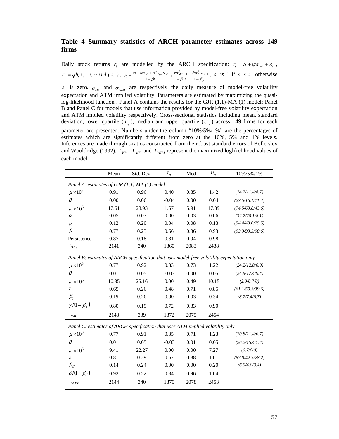# **Table 4 Summary statistics of ARCH parameter estimates across 149 firms**

Daily stock returns  $r_t$  are modelled by the ARCH specification:  $r_t = \mu + \psi \varepsilon_{t-1} + \varepsilon_t$ ,  $\varepsilon_{t} = \sqrt{h_{t}} z_{t}, z_{t} \sim i.i.d.(0,1), h_{t} = \frac{\omega + \alpha \varepsilon_{t-1}^{2} + \alpha^{-} s_{t-1} \varepsilon_{t-1}^{2}}{1 - \beta L} + \frac{\gamma \sigma_{MF,t-1}^{2}}{1 - \beta_{\gamma} L} + \frac{\delta \sigma_{AM,t-1}^{2}}{1 - \beta_{\delta} L}$ δσ β γσ β  $=\frac{\omega+\alpha\epsilon_{t-1}^2+\alpha^{\top}s_{t-1}\epsilon_{t-1}^2}{1-\beta L}+\frac{\gamma\sigma_{MF,t-1}^2}{1-\beta_{\nu}L}+\frac{\delta\sigma_{ATM,t-1}^2}{1-\beta_{\delta}L}$  $\frac{a_{t-1}^2 + \alpha^2 s_{t-1} \epsilon_{t-1}^2}{\alpha^2} + \frac{\gamma \sigma_{MF,t-1}^2}{\alpha^2} + \frac{\delta \sigma_{ATM,t-1}^2}{\alpha^2}$ , s<sub>t</sub> is 1 if  $\varepsilon_t \le 0$ , otherwise

 $s_t$  is zero.  $\sigma_{MF}$  and  $\sigma_{ATM}$  are respectively the daily measure of model-free volatility expectation and ATM implied volatility. Parameters are estimated by maximizing the quasilog-likelihood function . Panel A contains the results for the GJR (1,1)-MA (1) model; Panel B and Panel C for models that use information provided by model-free volatility expectation and ATM implied volatility respectively. Cross-sectional statistics including mean, standard deviation, lower quartile  $(L_a)$ , median and upper quartile  $(U_a)$  across 149 firms for each parameter are presented. Numbers under the column "10%/5%/1%" are the percentages of estimates which are significantly different from zero at the 10%, 5% and 1% levels. Inferences are made through t-ratios constructed from the robust standard errors of Bollerslev and Wooldridge (1992).  $L_{His}$ ,  $L_{MF}$  and  $L_{ATM}$  represent the maximized loglikelihood values of each model.

|                                                                                           | Mean  | Std. Dev. | $L_q$   | Med  | $U_q$ | 10%/5%/1%        |  |  |  |
|-------------------------------------------------------------------------------------------|-------|-----------|---------|------|-------|------------------|--|--|--|
| Panel A: estimates of GJR (1,1)-MA (1) model                                              |       |           |         |      |       |                  |  |  |  |
| $\mu \times 10^3$                                                                         | 0.91  | 0.96      | 0.40    | 0.85 | 1.42  | (24.2/11.4/8.7)  |  |  |  |
| $\theta$                                                                                  | 0.00  | 0.06      | $-0.04$ | 0.00 | 0.04  | (27.5/16.1/11.4) |  |  |  |
| $\omega \times 10^5$                                                                      | 17.61 | 28.93     | 1.57    | 5.91 | 17.89 | (74.5/63.8/43.6) |  |  |  |
| $\alpha$                                                                                  | 0.05  | 0.07      | 0.00    | 0.03 | 0.06  | (32.2/20.1/8.1)  |  |  |  |
| $\alpha^{-}$                                                                              | 0.12  | 0.20      | 0.04    | 0.08 | 0.13  | (54.4/43.0/25.5) |  |  |  |
| $\beta$                                                                                   | 0.77  | 0.23      | 0.66    | 0.86 | 0.93  | (93.3/93.3/90.6) |  |  |  |
| Persistence                                                                               | 0.87  | 0.18      | 0.81    | 0.94 | 0.98  |                  |  |  |  |
| $L_{His}$                                                                                 | 2141  | 340       | 1860    | 2083 | 2438  |                  |  |  |  |
| Panel B: estimates of ARCH specification that uses model-free volatility expectation only |       |           |         |      |       |                  |  |  |  |
| $\mu \times 10^3$                                                                         | 0.77  | 0.92      | 0.33    | 0.73 | 1.22  | (24.2/12.8/6.0)  |  |  |  |
| $\theta$                                                                                  | 0.01  | 0.05      | $-0.03$ | 0.00 | 0.05  | (24.8/17.4/9.4)  |  |  |  |
| $\omega \times 10^5$                                                                      | 10.35 | 25.16     | 0.00    | 0.49 | 10.15 | (2.0/0.7/0)      |  |  |  |
| $\gamma$                                                                                  | 0.65  | 0.26      | 0.48    | 0.71 | 0.85  | (61.1/50.3/39.6) |  |  |  |
| $\beta_{\nu}$                                                                             | 0.19  | 0.26      | 0.00    | 0.03 | 0.34  | (8.7/7.4/6.7)    |  |  |  |
| $\gamma/(1-\beta_\gamma)$                                                                 | 0.80  | 0.19      | 0.72    | 0.83 | 0.90  |                  |  |  |  |
| $L_{MF}$                                                                                  | 2143  | 339       | 1872    | 2075 | 2454  |                  |  |  |  |
| Panel C: estimates of ARCH specification that uses ATM implied volatility only            |       |           |         |      |       |                  |  |  |  |
| $\mu \times 10^3$                                                                         | 0.77  | 0.91      | 0.35    | 0.71 | 1.23  | (20.8/11.4/6.7)  |  |  |  |
| $\theta$                                                                                  | 0.01  | 0.05      | $-0.03$ | 0.01 | 0.05  | (26.2/15.4/7.4)  |  |  |  |
| $\omega \times 10^5$                                                                      | 9.41  | 22.27     | 0.00    | 0.00 | 7.27  | (0.7/0/0)        |  |  |  |
| $\delta$                                                                                  | 0.81  | 0.29      | 0.62    | 0.88 | 1.01  | (57.0/42.3/28.2) |  |  |  |
| $\beta_{\delta}$                                                                          | 0.14  | 0.24      | 0.00    | 0.00 | 0.20  | (6.0/4.0/3.4)    |  |  |  |
| $\delta/[1-\beta_\delta]$                                                                 | 0.92  | 0.22      | 0.84    | 0.96 | 1.04  |                  |  |  |  |
| $L_{ATM}$                                                                                 | 2144  | 340       | 1870    | 2078 | 2453  |                  |  |  |  |
|                                                                                           |       |           |         |      |       |                  |  |  |  |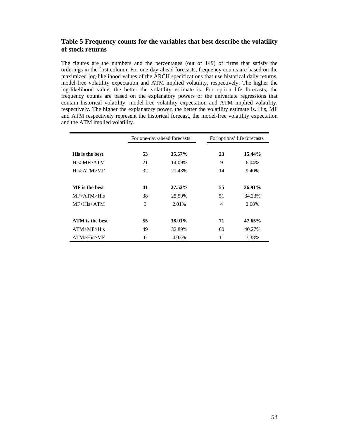# **Table 5 Frequency counts for the variables that best describe the volatility of stock returns**

The figures are the numbers and the percentages (out of 149) of firms that satisfy the orderings in the first column. For one-day-ahead forecasts, frequency counts are based on the maximized log-likelihood values of the ARCH specifications that use historical daily returns, model-free volatility expectation and ATM implied volatility, respectively. The higher the log-likelihood value, the better the volatility estimate is. For option life forecasts, the frequency counts are based on the explanatory powers of the univariate regressions that contain historical volatility, model-free volatility expectation and ATM implied volatility, respectively. The higher the explanatory power, the better the volatility estimate is. His, MF and ATM respectively represent the historical forecast, the model-free volatility expectation and the ATM implied volatility.

|                        |    | For one-day-ahead forecasts | For options' life forecasts |        |  |
|------------------------|----|-----------------------------|-----------------------------|--------|--|
| His is the best        | 53 | 35.57%                      | 23                          | 15.44% |  |
| His>MF>ATM             | 21 | 14.09%                      | 9                           | 6.04%  |  |
| His>ATM>MF             | 32 | 21.48%                      | 14                          | 9.40%  |  |
| MF is the best         | 41 | 27.52%                      | 55                          | 36.91% |  |
| MF>ATM>His             | 38 | 25.50%                      | 51                          | 34.23% |  |
| MF>His>ATM             | 3  | 2.01%                       | $\overline{4}$              | 2.68%  |  |
| <b>ATM</b> is the best | 55 | 36.91%                      | 71                          | 47.65% |  |
| ATM>MF>His             | 49 | 32.89%                      | 60                          | 40.27% |  |
| ATM>His>MF             | 6  | 4.03%                       | 11                          | 7.38%  |  |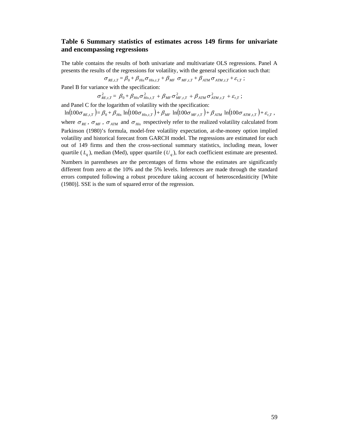# **Table 6 Summary statistics of estimates across 149 firms for univariate and encompassing regressions**

The table contains the results of both univariate and multivariate OLS regressions. Panel A presents the results of the regressions for volatility, with the general specification such that:

$$
\sigma_{RE,t,T} = \beta_0 + \beta_{His}\sigma_{His,t,T} + \beta_{MF}\ \sigma_{MF,t,T} + \beta_{ATM}\sigma_{ATM,t,T} + \varepsilon_{t,T};
$$

Panel B for variance with the specification:

$$
\sigma_{RE,t,T}^2 = \beta_0 + \beta_{His} \sigma_{His,t,T}^2 + \beta_{MF} \sigma_{MF,t,T}^2 + \beta_{ATM} \sigma_{ATM,t,T}^2 + \varepsilon_{t,T};
$$

and Panel C for the logarithm of volatility with the specification:

 $\ln(100\sigma_{RE,t,T}) = \beta_0 + \beta_{His} \ln(100\sigma_{His,t,T}) + \beta_{MF} \ln(100\sigma_{MF,t,T}) + \beta_{ATM} \ln(100\sigma_{ATM,t,T}) + \varepsilon_{t,T}$ where  $\sigma_{RE}$ ,  $\sigma_{MF}$ ,  $\sigma_{ATM}$  and  $\sigma_{His}$  respectively refer to the realized volatility calculated from Parkinson (1980)'s formula, model-free volatility expectation, at-the-money option implied volatility and historical forecast from GARCH model. The regressions are estimated for each out of 149 firms and then the cross-sectional summary statistics, including mean, lower quartile  $(L_q)$ , median (Med), upper quartile  $(U_q)$ , for each coefficient estimate are presented.

Numbers in parentheses are the percentages of firms whose the estimates are significantly different from zero at the 10% and the 5% levels. Inferences are made through the standard errors computed following a robust procedure taking account of heteroscedasiticity [White (1980)]. SSE is the sum of squared error of the regression.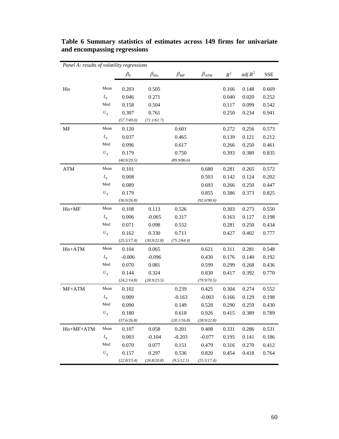| Panel A: results of volatility regressions |                               |             |               |                  |               |       |           |            |
|--------------------------------------------|-------------------------------|-------------|---------------|------------------|---------------|-------|-----------|------------|
|                                            |                               | $\beta_0$   | $\beta_{His}$ | $\beta_{\rm MF}$ | $\beta_{ATM}$ | $R^2$ | $adj.R^2$ | <b>SSE</b> |
|                                            |                               |             |               |                  |               |       |           |            |
| His                                        | Mean                          | 0.203       | 0.505         |                  |               | 0.166 | 0.148     | 0.669      |
|                                            | $L_q$                         | 0.046       | 0.271         |                  |               | 0.040 | 0.020     | 0.252      |
|                                            | Med                           | 0.158       | 0.504         |                  |               | 0.117 | 0.099     | 0.542      |
|                                            | $U_q$                         | 0.307       | 0.761         |                  |               | 0.250 | 0.234     | 0.941      |
|                                            |                               | (57.7/49.0) | (71.1/61.7)   |                  |               |       |           |            |
| MF                                         | Mean                          | 0.120       |               | 0.601            |               | 0.272 | 0.256     | 0.573      |
|                                            | $L_q$                         | 0.037       |               | 0.465            |               | 0.139 | 0.121     | 0.212      |
|                                            | Med                           | 0.096       |               | 0.617            |               | 0.266 | 0.250     | 0.461      |
|                                            | $U_q$                         | 0.179       |               | 0.750            |               | 0.393 | 0.380     | 0.835      |
|                                            |                               | (40.9/29.5) |               | (89.9/86.6)      |               |       |           |            |
| <b>ATM</b>                                 | Mean                          | 0.101       |               |                  | 0.680         | 0.281 | 0.265     | 0.572      |
|                                            | $L_q$                         | 0.008       |               |                  | 0.503         | 0.142 | 0.124     | 0.202      |
|                                            | Med                           | 0.089       |               |                  | 0.693         | 0.266 | 0.250     | 0.447      |
|                                            | $U_q$                         | 0.179       |               |                  | 0.855         | 0.386 | 0.373     | 0.825      |
|                                            |                               | (36.9/26.8) |               |                  | (92.6/90.6)   |       |           |            |
| His+MF                                     | Mean                          | 0.108       | 0.113         | 0.526            |               | 0.303 | 0.273     | 0.550      |
|                                            | $L_q$                         | 0.006       | $-0.065$      | 0.317            |               | 0.163 | 0.127     | 0.198      |
|                                            | Med                           | 0.071       | 0.098         | 0.552            |               | 0.281 | 0.250     | 0.434      |
|                                            | $U_q$                         | 0.162       | 0.330         | 0.711            |               | 0.427 | 0.402     | 0.777      |
|                                            |                               | (25.5/17.4) | (30.9/22.8)   | (75.2/64.4)      |               |       |           |            |
| His+ATM                                    | Mean                          | 0.104       | 0.065         |                  | 0.621         | 0.311 | 0.281     | 0.548      |
|                                            | $L_q$                         | $-0.006$    | $-0.096$      |                  | 0.430         | 0.176 | 0.140     | 0.192      |
|                                            | Med                           | 0.070       | 0.081         |                  | 0.599         | 0.299 | 0.268     | 0.436      |
|                                            | $\boldsymbol{U}_q$            | 0.144       | 0.324         |                  | 0.830         | 0.417 | 0.392     | 0.770      |
|                                            |                               | (24.2/14.8) | (28.9/23.5)   |                  | (79.9/70.5)   |       |           |            |
| $MF+ATM$                                   | Mean                          | 0.102       |               | 0.239            | 0.425         | 0.304 | 0.274     | 0.552      |
|                                            | $L_q$                         | 0.009       |               | $-0.163$         | $-0.003$      | 0.166 | 0.129     | 0.198      |
|                                            | Med                           | 0.090       |               | 0.149            | 0.528         | 0.290 | 0.259     | 0.430      |
|                                            | $\boldsymbol{U}_q$            | 0.180       |               | 0.618            | 0.926         | 0.415 | 0.389     | 0.789      |
|                                            |                               | (37.6/26.8) |               | (20.1/16.8)      | (28.9/22.8)   |       |           |            |
| His+MF+ATM                                 | Mean                          | 0.107       | 0.058         | 0.201            | 0.408         | 0.331 | 0.286     | 0.531      |
|                                            | $L_q$                         | 0.003       | $-0.104$      | $-0.203$         | $-0.077$      | 0.195 | 0.141     | 0.186      |
|                                            | $\operatorname{\mathsf{Med}}$ | 0.070       | 0.077         | 0.151            | 0.479         | 0.316 | 0.270     | 0.412      |
|                                            | $U_q$                         | 0.157       | 0.297         | 0.536            | 0.820         | 0.454 | 0.418     | 0.764      |
|                                            |                               | (22.8/13.4) | (26.8/20.8)   | (9.5/12.1)       | (25.5/17.4)   |       |           |            |

**Table 6 Summary statistics of estimates across 149 firms for univariate and encompassing regressions**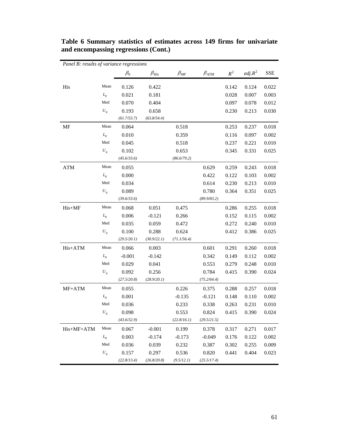| Panel B: results of variance regressions |                    |             |               |              |               |       |           |            |
|------------------------------------------|--------------------|-------------|---------------|--------------|---------------|-------|-----------|------------|
|                                          |                    | $\beta_0$   | $\beta_{His}$ | $\beta_{MF}$ | $\beta_{ATM}$ | $R^2$ | $adj.R^2$ | <b>SSE</b> |
| His                                      | Mean               | 0.126       | 0.422         |              |               | 0.142 | 0.124     | 0.022      |
|                                          | $L_q$              | 0.021       | 0.181         |              |               | 0.028 | 0.007     | 0.003      |
|                                          | Med                | 0.070       | 0.404         |              |               | 0.097 | 0.078     | 0.012      |
|                                          | $U_q$              | 0.193       | 0.658         |              |               | 0.230 | 0.213     | 0.030      |
|                                          |                    | (61.7/53.7) | (63.8/54.4)   |              |               |       |           |            |
| MF                                       | Mean               | 0.064       |               | 0.518        |               | 0.253 | 0.237     | 0.018      |
|                                          | $L_q$              | 0.010       |               | 0.359        |               | 0.116 | 0.097     | 0.002      |
|                                          | Med                | 0.045       |               | 0.518        |               | 0.237 | 0.221     | 0.010      |
|                                          | $U_q$              | 0.102       |               | 0.653        |               | 0.345 | 0.331     | 0.025      |
|                                          |                    | (45.6/33.6) |               | (86.6/79.2)  |               |       |           |            |
| <b>ATM</b>                               | Mean               | 0.055       |               |              | 0.629         | 0.259 | 0.243     | 0.018      |
|                                          | $L_q$              | 0.000       |               |              | 0.422         | 0.122 | 0.103     | 0.002      |
|                                          | Med                | 0.034       |               |              | 0.614         | 0.230 | 0.213     | 0.010      |
|                                          | $\boldsymbol{U}_q$ | 0.089       |               |              | 0.780         | 0.364 | 0.351     | 0.025      |
|                                          |                    | (39.6/33.6) |               |              | (89.9/83.2)   |       |           |            |
| His+MF                                   | Mean               | 0.068       | 0.051         | 0.475        |               | 0.286 | 0.255     | 0.018      |
|                                          | $L_q$              | 0.006       | $-0.121$      | 0.266        |               | 0.152 | 0.115     | 0.002      |
|                                          | Med                | 0.035       | 0.059         | 0.472        |               | 0.272 | 0.240     | 0.010      |
|                                          | $\boldsymbol{U}_q$ | 0.100       | 0.288         | 0.624        |               | 0.412 | 0.386     | 0.025      |
|                                          |                    | (29.5/20.1) | (30.9/22.1)   | (71.1/56.4)  |               |       |           |            |
| His+ATM                                  | Mean               | 0.066       | 0.003         |              | 0.601         | 0.291 | 0.260     | 0.018      |
|                                          | $L_q$              | $-0.001$    | $-0.142$      |              | 0.342         | 0.149 | 0.112     | 0.002      |
|                                          | Med                | 0.029       | 0.041         |              | 0.553         | 0.279 | 0.248     | 0.010      |
|                                          | $\boldsymbol{U}_q$ | 0.092       | 0.256         |              | 0.784         | 0.415 | 0.390     | 0.024      |
|                                          |                    | (27.5/20.8) | (28.9/20.1)   |              | (75.2/64.4)   |       |           |            |
| $MF+ATM$                                 | Mean               | 0.055       |               | 0.226        | 0.375         | 0.288 | 0.257     | 0.018      |
|                                          | $L_q$              | 0.001       |               | $-0.135$     | $-0.121$      | 0.148 | 0.110     | 0.002      |
|                                          | Med                | 0.036       |               | 0.233        | 0.338         | 0.263 | 0.231     | 0.010      |
|                                          | $\boldsymbol{U}_q$ | 0.098       |               | 0.553        | 0.824         | 0.415 | 0.390     | 0.024      |
|                                          |                    | (43.6/32.9) |               | (22.8/16.1)  | (29.5/21.5)   |       |           |            |
| His+MF+ATM                               | Mean               | 0.067       | $-0.001$      | 0.199        | 0.378         | 0.317 | 0.271     | 0.017      |
|                                          | $L_q$              | 0.003       | $-0.174$      | $-0.173$     | $-0.049$      | 0.176 | 0.122     | 0.002      |
|                                          | Med                | 0.036       | 0.039         | 0.232        | 0.387         | 0.302 | 0.255     | 0.009      |
|                                          | $U_q$              | 0.157       | 0.297         | 0.536        | 0.820         | 0.441 | 0.404     | 0.023      |
|                                          |                    | (22.8/13.4) | (26.8/20.8)   | (9.5/12.1)   | (25.5/17.4)   |       |           |            |

**Table 6 Summary statistics of estimates across 149 firms for univariate and encompassing regressions (Cont.)**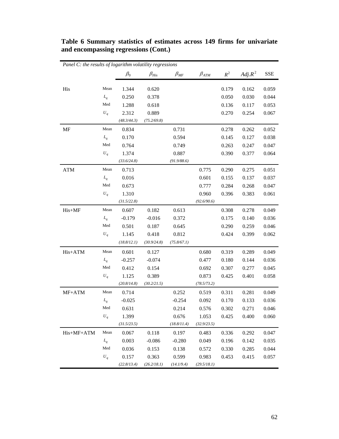| Panel C: the results of logarithm volatility regressions |                    |                      |                      |              |               |                    |           |            |
|----------------------------------------------------------|--------------------|----------------------|----------------------|--------------|---------------|--------------------|-----------|------------|
|                                                          |                    | $\beta_0$            | $\beta_{His}$        | $\beta_{MF}$ | $\beta_{ATM}$ | $\boldsymbol{R}^2$ | $Adj.R^2$ | <b>SSE</b> |
|                                                          | Mean               |                      |                      |              |               |                    |           |            |
| His                                                      |                    | 1.344                | 0.620                |              |               | 0.179              | 0.162     | 0.059      |
|                                                          | $L_q$<br>Med       | 0.250                | 0.378                |              |               | 0.050              | 0.030     | 0.044      |
|                                                          |                    | 1.288                | 0.618                |              |               | 0.136              | 0.117     | 0.053      |
|                                                          | $\boldsymbol{U}_q$ | 2.312<br>(48.3/44.3) | 0.889<br>(75.2/69.8) |              |               | 0.270              | 0.254     | 0.067      |
| MF                                                       | Mean               | 0.834                |                      | 0.731        |               | 0.278              | 0.262     | 0.052      |
|                                                          | $L_q$              | 0.170                |                      | 0.594        |               | 0.145              | 0.127     | 0.038      |
|                                                          | Med                | 0.764                |                      | 0.749        |               | 0.263              | 0.247     | 0.047      |
|                                                          | $U_q$              | 1.374                |                      | 0.887        |               | 0.390              | 0.377     | 0.064      |
|                                                          |                    | (33.6/24.8)          |                      | (91.9/88.6)  |               |                    |           |            |
| <b>ATM</b>                                               | Mean               | 0.713                |                      |              | 0.775         | 0.290              | 0.275     | 0.051      |
|                                                          | $L_q$              | 0.016                |                      |              | 0.601         | 0.155              | 0.137     | 0.037      |
|                                                          | Med                | 0.673                |                      |              | 0.777         | 0.284              | 0.268     | 0.047      |
|                                                          | $U_q$              | 1.310                |                      |              | 0.960         | 0.396              | 0.383     | 0.061      |
|                                                          |                    | (31.5/22.8)          |                      |              | (92.6/90.6)   |                    |           |            |
| His+MF                                                   | Mean               | 0.607                | 0.182                | 0.613        |               | 0.308              | 0.278     | 0.049      |
|                                                          | $L_q$              | $-0.179$             | $-0.016$             | 0.372        |               | 0.175              | 0.140     | 0.036      |
|                                                          | Med                | 0.501                | 0.187                | 0.645        |               | 0.290              | 0.259     | 0.046      |
|                                                          | $U_q$              | 1.145                | 0.418                | 0.812        |               | 0.424              | 0.399     | 0.062      |
|                                                          |                    | (18.8/12.1)          | (30.9/24.8)          | (75.8/67.1)  |               |                    |           |            |
| His+ATM                                                  | Mean               | 0.601                | 0.127                |              | 0.680         | 0.319              | 0.289     | 0.049      |
|                                                          | $L_q$              | $-0.257$             | $-0.074$             |              | 0.477         | 0.180              | 0.144     | 0.036      |
|                                                          | Med                | 0.412                | 0.154                |              | 0.692         | 0.307              | 0.277     | 0.045      |
|                                                          | $U_q$              | 1.125                | 0.389                |              | 0.873         | 0.425              | 0.401     | 0.058      |
|                                                          |                    | (20.8/14.8)          | (30.2/21.5)          |              | (78.5/73.2)   |                    |           |            |
| MF+ATM                                                   | Mean               | 0.714                |                      | 0.252        | 0.519         | 0.311              | 0.281     | 0.049      |
|                                                          | $L_q$              | $-0.025$             |                      | $-0.254$     | 0.092         | 0.170              | 0.133     | 0.036      |
|                                                          | Med                | 0.631                |                      | 0.214        | 0.576         | 0.302              | 0.271     | 0.046      |
|                                                          | $U_q$              | 1.399                |                      | 0.676        | 1.053         | 0.425              | 0.400     | 0.060      |
|                                                          |                    | (31.5/23.5)          |                      | (18.8/11.4)  | (32.9/23.5)   |                    |           |            |
| His+MF+ATM                                               | Mean               | 0.067                | 0.118                | 0.197        | 0.483         | 0.336              | 0.292     | 0.047      |
|                                                          | $L_q$              | 0.003                | $-0.086$             | $-0.280$     | 0.049         | 0.196              | 0.142     | 0.035      |
|                                                          | Med                | 0.036                | 0.153                | 0.138        | 0.572         | 0.330              | 0.285     | 0.044      |
|                                                          | $U_q$              | 0.157                | 0.363                | 0.599        | 0.983         | 0.453              | 0.415     | 0.057      |
|                                                          |                    | (22.8/13.4)          | (26.2/18.1)          | (14.1/9.4)   | (29.5/18.1)   |                    |           |            |

**Table 6 Summary statistics of estimates across 149 firms for univariate and encompassing regressions (Cont.)**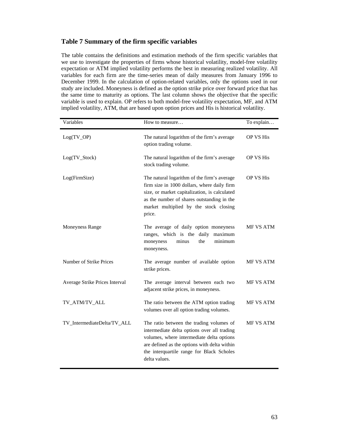# **Table 7 Summary of the firm specific variables**

The table contains the definitions and estimation methods of the firm specific variables that we use to investigate the properties of firms whose historical volatility, model-free volatility expectation or ATM implied volatility performs the best in measuring realized volatility. All variables for each firm are the time-series mean of daily measures from January 1996 to December 1999. In the calculation of option-related variables, only the options used in our study are included. Moneyness is defined as the option strike price over forward price that has the same time to maturity as options. The last column shows the objective that the specific variable is used to explain. OP refers to both model-free volatility expectation, MF, and ATM implied volatility, ATM, that are based upon option prices and His is historical volatility.

| Variables                      | How to measure                                                                                                                                                                                                                                     | To explain       |
|--------------------------------|----------------------------------------------------------------------------------------------------------------------------------------------------------------------------------------------------------------------------------------------------|------------------|
| $Log(TV_OP)$                   | The natural logarithm of the firm's average<br>option trading volume.                                                                                                                                                                              | <b>OP VS His</b> |
| $Log(TV_Stock)$                | The natural logarithm of the firm's average<br>stock trading volume.                                                                                                                                                                               | <b>OP VS His</b> |
| Log(FirmSize)                  | The natural logarithm of the firm's average<br>firm size in 1000 dollars, where daily firm<br>size, or market capitalization, is calculated<br>as the number of shares outstanding in the<br>market multiplied by the stock closing<br>price.      | <b>OP VS His</b> |
| <b>Moneyness Range</b>         | The average of daily option moneyness<br>ranges, which is the daily<br>maximum<br>minimum<br>minus<br>the<br>moneyness<br>moneyness.                                                                                                               | MF VS ATM        |
| Number of Strike Prices        | The average number of available option<br>strike prices.                                                                                                                                                                                           | MF VS ATM        |
| Average Strike Prices Interval | The average interval between each two<br>adjacent strike prices, in moneyness.                                                                                                                                                                     | <b>MF VS ATM</b> |
| TV_ATM/TV_ALL                  | The ratio between the ATM option trading<br>volumes over all option trading volumes.                                                                                                                                                               | MF VS ATM        |
| TV_IntermediateDelta/TV_ALL    | The ratio between the trading volumes of<br>intermediate delta options over all trading<br>volumes, where intermediate delta options<br>are defined as the options with delta within<br>the interquartile range for Black Scholes<br>delta values. | <b>MF VS ATM</b> |